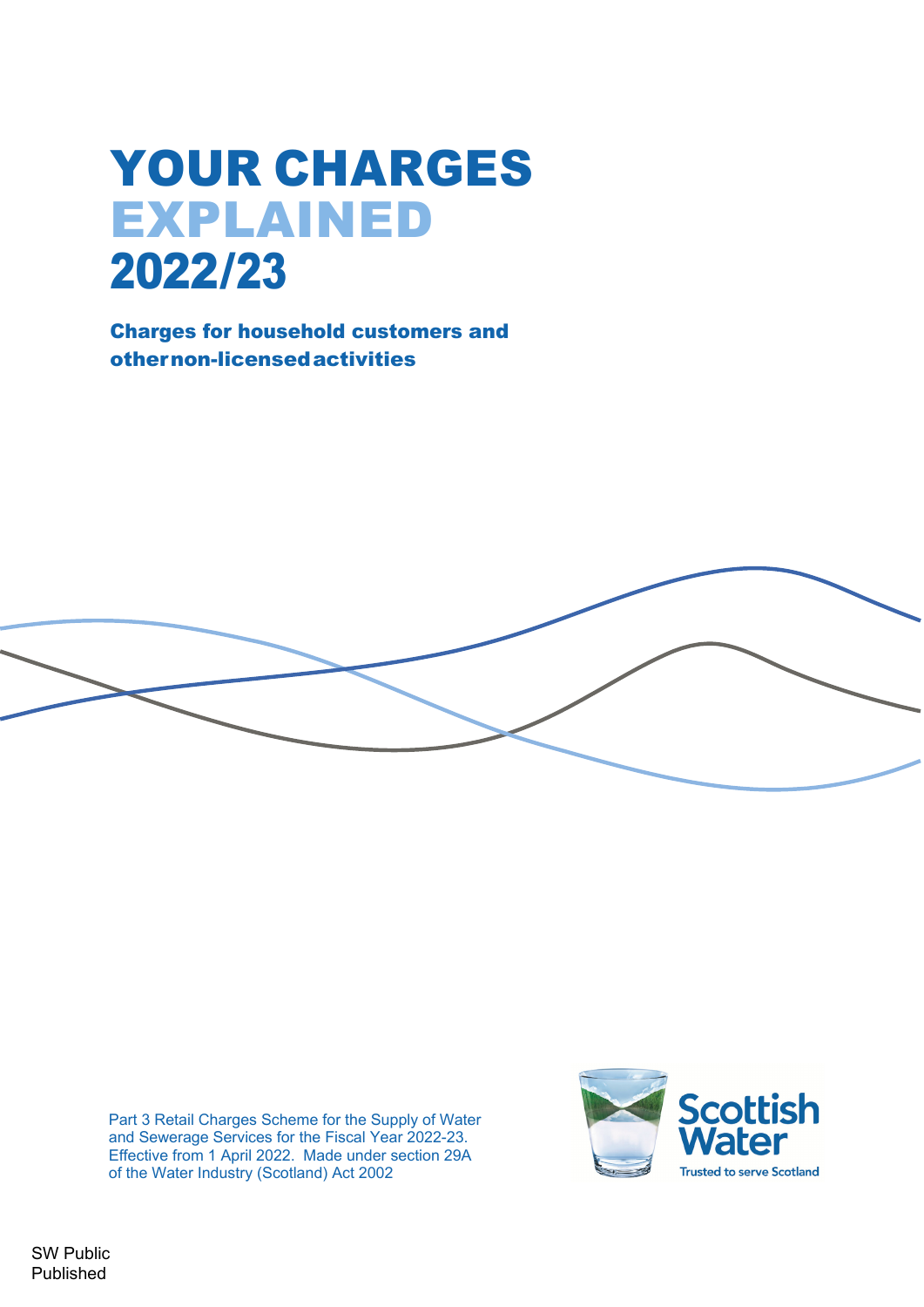# YOUR CHARGES EXPLAINED 2022/23

Charges for household customers and other non-licensed activities



Part 3 Retail Charges Scheme for the Supply of Water and Sewerage Services for the Fiscal Year 2022-23. Effective from 1 April 2022. Made under section 29A of the Water Industry (Scotland) Act 2002



SW Public Published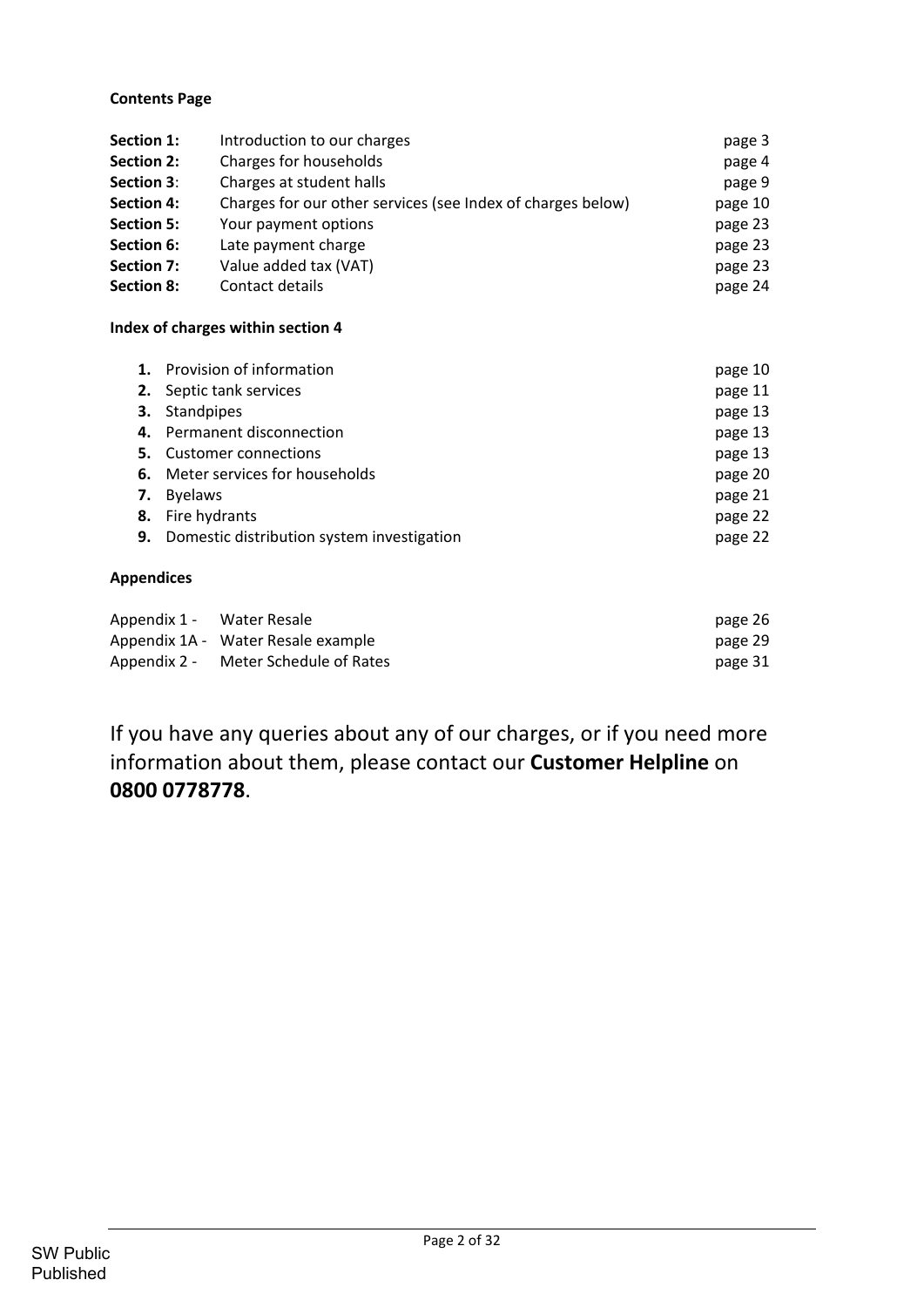# **Contents Page**

| Section 1:        | Introduction to our charges                                 | page 3  |
|-------------------|-------------------------------------------------------------|---------|
| <b>Section 2:</b> | Charges for households                                      | page 4  |
| <b>Section 3:</b> | Charges at student halls                                    | page 9  |
| <b>Section 4:</b> | Charges for our other services (see Index of charges below) | page 10 |
| <b>Section 5:</b> | Your payment options                                        | page 23 |
| Section 6:        | Late payment charge                                         | page 23 |
| Section 7:        | Value added tax (VAT)                                       | page 23 |
| <b>Section 8:</b> | Contact details                                             | page 24 |

## **Index of charges within section 4**

|    | 1. Provision of information                | page 10 |
|----|--------------------------------------------|---------|
|    | 2. Septic tank services                    | page 11 |
|    | 3. Standpipes                              | page 13 |
|    | 4. Permanent disconnection                 | page 13 |
| 5. | <b>Customer connections</b>                | page 13 |
|    | 6. Meter services for households           | page 20 |
| 7. | <b>Byelaws</b>                             | page 21 |
| 8. | Fire hydrants                              | page 22 |
| 9. | Domestic distribution system investigation | page 22 |

# **Appendices**

| Appendix 1 - Water Resale |                                      | page 26 |
|---------------------------|--------------------------------------|---------|
|                           | Appendix 1A - Water Resale example   | page 29 |
|                           | Appendix 2 - Meter Schedule of Rates | page 31 |

If you have any queries about any of our charges, or if you need more information about them, please contact our **Customer Helpline** on **0800 0778778**.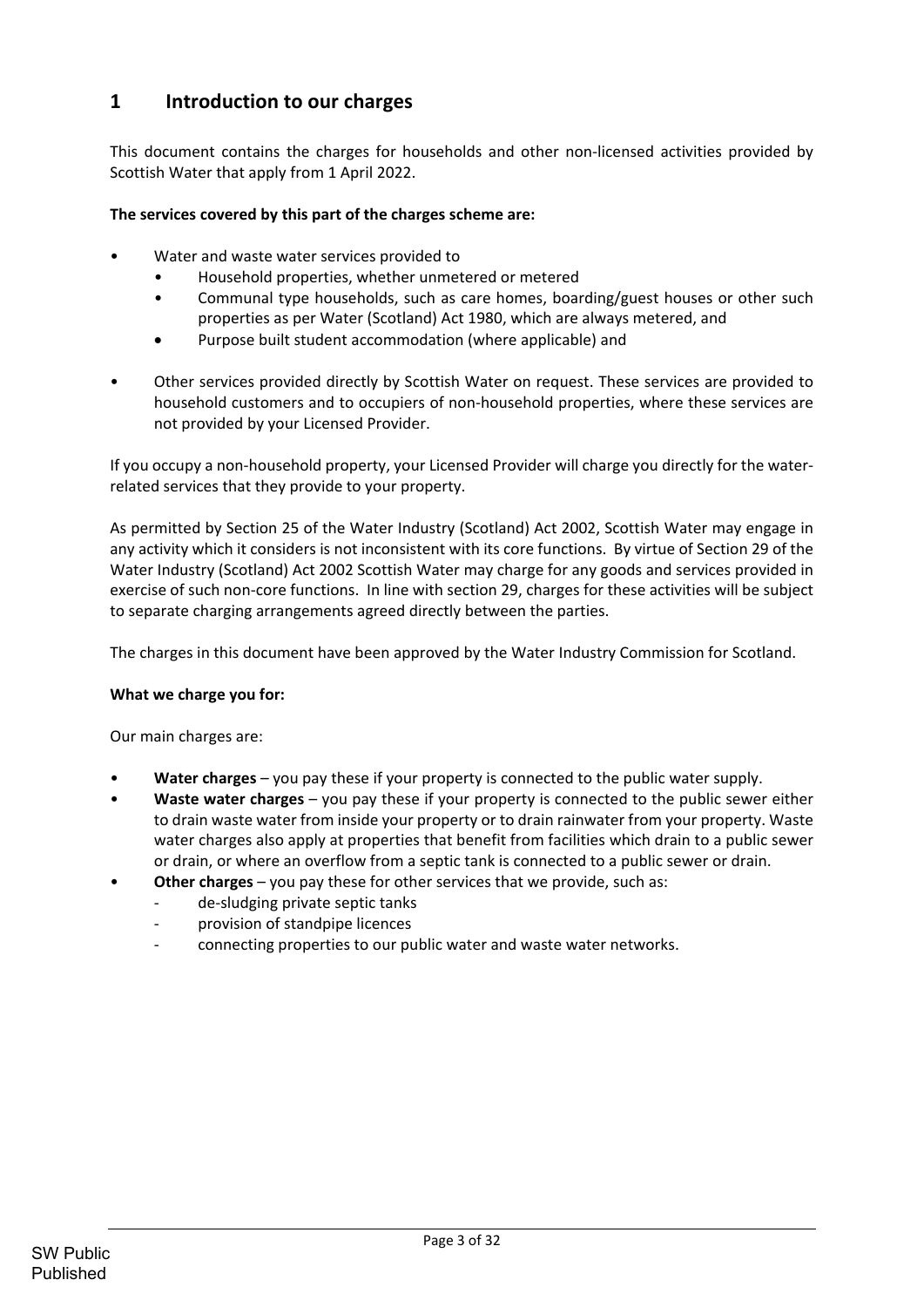# **1 Introduction to our charges**

This document contains the charges for households and other non‐licensed activities provided by Scottish Water that apply from 1 April 2022.

## **The services covered by this part of the charges scheme are:**

- Water and waste water services provided to
	- Household properties, whether unmetered or metered
	- Communal type households, such as care homes, boarding/guest houses or other such properties as per Water (Scotland) Act 1980, which are always metered, and
	- Purpose built student accommodation (where applicable) and
- Other services provided directly by Scottish Water on request. These services are provided to household customers and to occupiers of non-household properties, where these services are not provided by your Licensed Provider.

If you occupy a non‐household property, your Licensed Provider will charge you directly for the water‐ related services that they provide to your property.

As permitted by Section 25 of the Water Industry (Scotland) Act 2002, Scottish Water may engage in any activity which it considers is not inconsistent with its core functions. By virtue of Section 29 of the Water Industry (Scotland) Act 2002 Scottish Water may charge for any goods and services provided in exercise of such non‐core functions. In line with section 29, charges for these activities will be subject to separate charging arrangements agreed directly between the parties.

The charges in this document have been approved by the Water Industry Commission for Scotland.

#### **What we charge you for:**

Our main charges are:

- **Water charges** you pay these if your property is connected to the public water supply.
- **Waste water charges** you pay these if your property is connected to the public sewer either to drain waste water from inside your property or to drain rainwater from your property. Waste water charges also apply at properties that benefit from facilities which drain to a public sewer or drain, or where an overflow from a septic tank is connected to a public sewer or drain.
- **Other charges** you pay these for other services that we provide, such as:
	- de-sludging private septic tanks
	- provision of standpipe licences
	- ‐ connecting properties to our public water and waste water networks.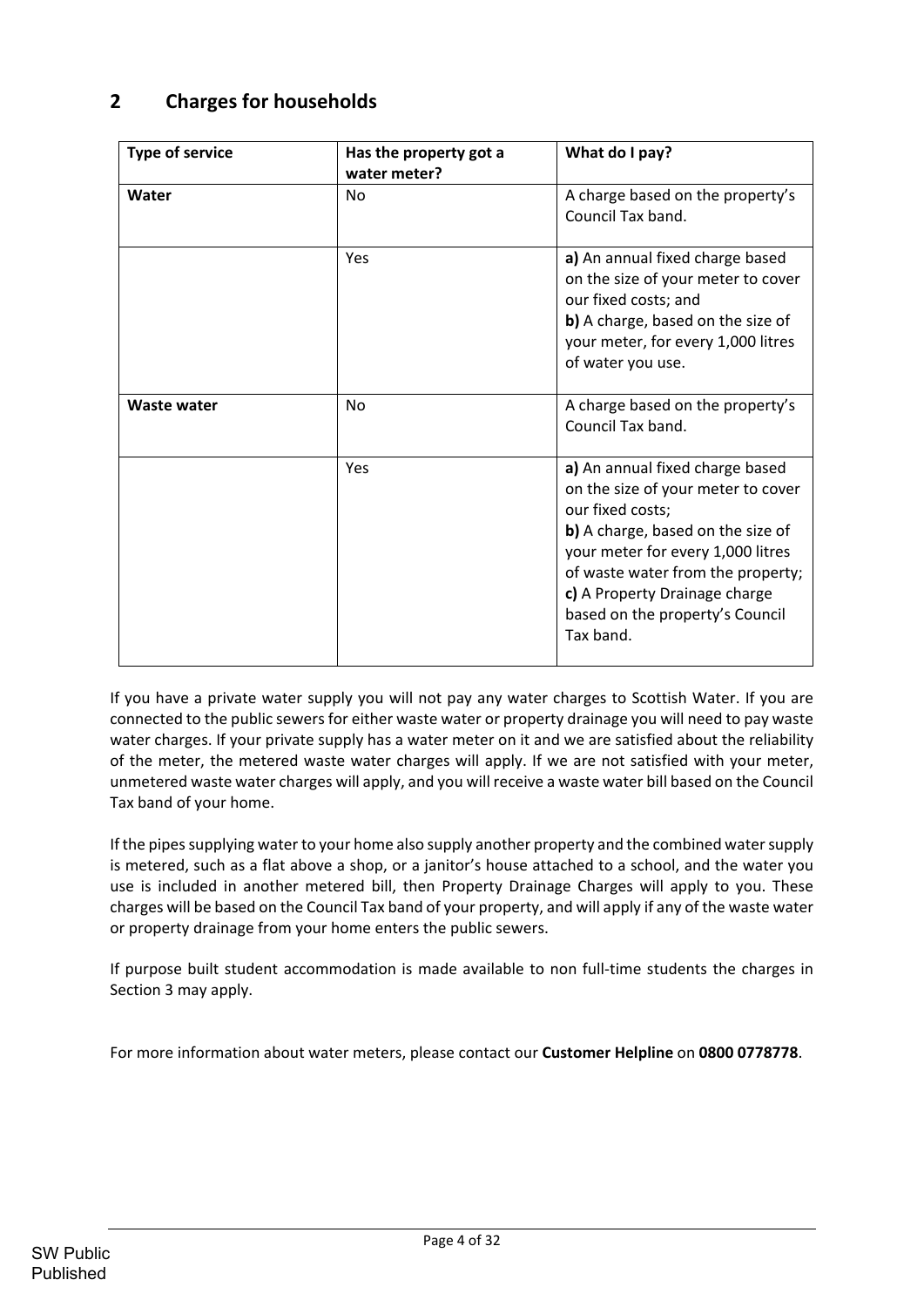# **2 Charges for households**

| <b>Type of service</b> | Has the property got a<br>water meter? | What do I pay?                                                                                                                                                                                                                                                                            |
|------------------------|----------------------------------------|-------------------------------------------------------------------------------------------------------------------------------------------------------------------------------------------------------------------------------------------------------------------------------------------|
| Water                  | No                                     | A charge based on the property's<br>Council Tax band.                                                                                                                                                                                                                                     |
|                        | Yes                                    | a) An annual fixed charge based<br>on the size of your meter to cover<br>our fixed costs; and<br>b) A charge, based on the size of<br>your meter, for every 1,000 litres<br>of water you use.                                                                                             |
| <b>Waste water</b>     | No                                     | A charge based on the property's<br>Council Tax band.                                                                                                                                                                                                                                     |
|                        | Yes                                    | a) An annual fixed charge based<br>on the size of your meter to cover<br>our fixed costs;<br>b) A charge, based on the size of<br>your meter for every 1,000 litres<br>of waste water from the property;<br>c) A Property Drainage charge<br>based on the property's Council<br>Tax band. |

If you have a private water supply you will not pay any water charges to Scottish Water. If you are connected to the public sewers for either waste water or property drainage you will need to pay waste water charges. If your private supply has a water meter on it and we are satisfied about the reliability of the meter, the metered waste water charges will apply. If we are not satisfied with your meter, unmetered waste water charges will apply, and you will receive a waste water bill based on the Council Tax band of your home.

If the pipes supplying water to your home also supply another property and the combined water supply is metered, such as a flat above a shop, or a janitor's house attached to a school, and the water you use is included in another metered bill, then Property Drainage Charges will apply to you. These charges will be based on the Council Tax band of your property, and will apply if any of the waste water or property drainage from your home enters the public sewers.

If purpose built student accommodation is made available to non full‐time students the charges in Section 3 may apply.

For more information about water meters, please contact our **Customer Helpline** on **0800 0778778**.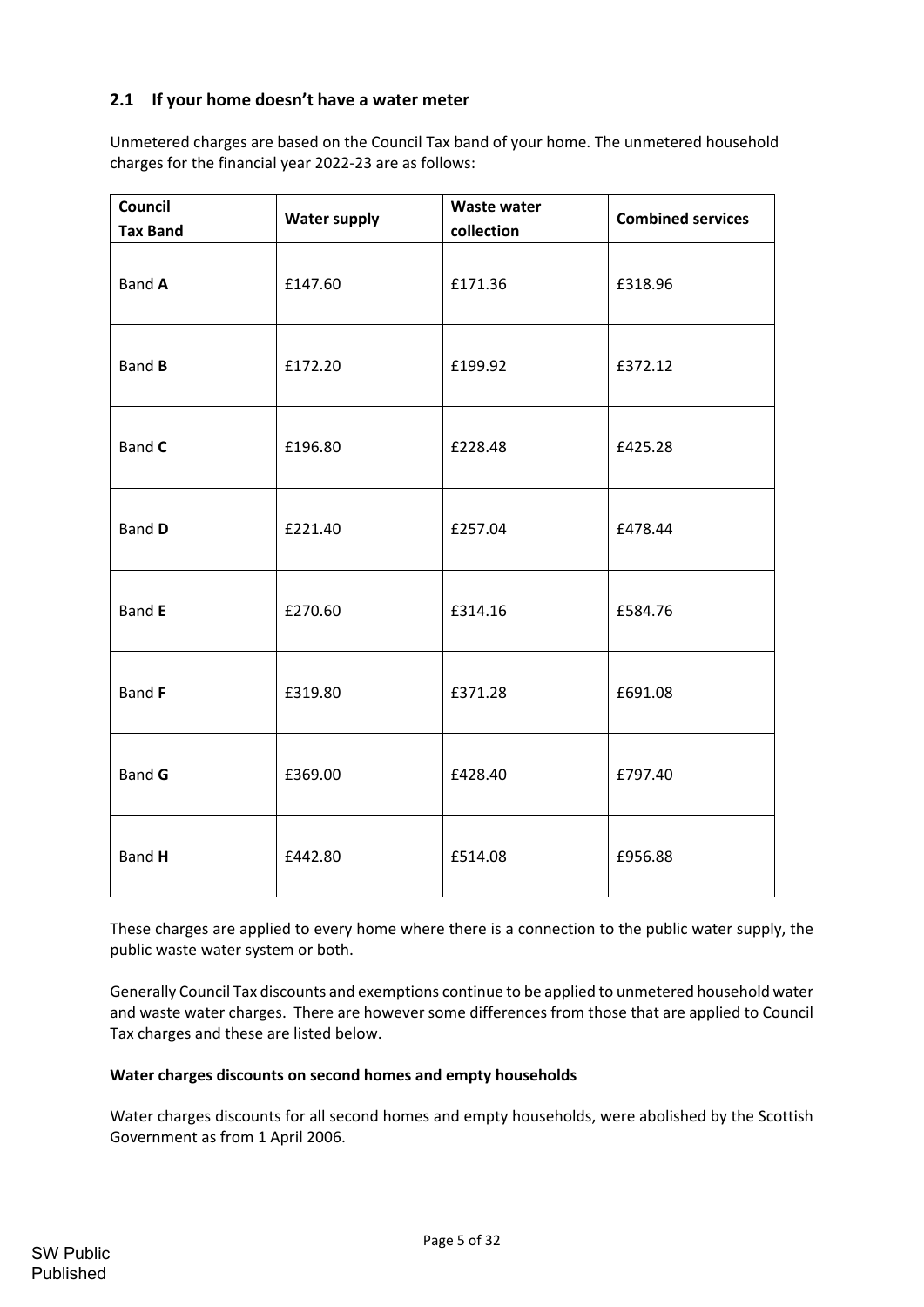# **2.1 If your home doesn't have a water meter**

Unmetered charges are based on the Council Tax band of your home. The unmetered household charges for the financial year 2022‐23 are as follows:

| Council<br><b>Tax Band</b> | <b>Water supply</b> | <b>Waste water</b><br>collection | <b>Combined services</b> |
|----------------------------|---------------------|----------------------------------|--------------------------|
| <b>Band A</b>              | £147.60             | £171.36                          | £318.96                  |
| Band <b>B</b>              | £172.20             | £199.92                          | £372.12                  |
| <b>Band C</b>              | £196.80             | £228.48                          | £425.28                  |
| <b>Band D</b>              | £221.40             | £257.04                          | £478.44                  |
| <b>Band E</b>              | £270.60             | £314.16                          | £584.76                  |
| <b>Band F</b>              | £319.80             | £371.28                          | £691.08                  |
| <b>Band G</b>              | £369.00             | £428.40                          | £797.40                  |
| Band H                     | £442.80             | £514.08                          | £956.88                  |

These charges are applied to every home where there is a connection to the public water supply, the public waste water system or both.

Generally Council Tax discounts and exemptions continue to be applied to unmetered household water and waste water charges. There are however some differences from those that are applied to Council Tax charges and these are listed below.

#### **Water charges discounts on second homes and empty households**

Water charges discounts for all second homes and empty households, were abolished by the Scottish Government as from 1 April 2006.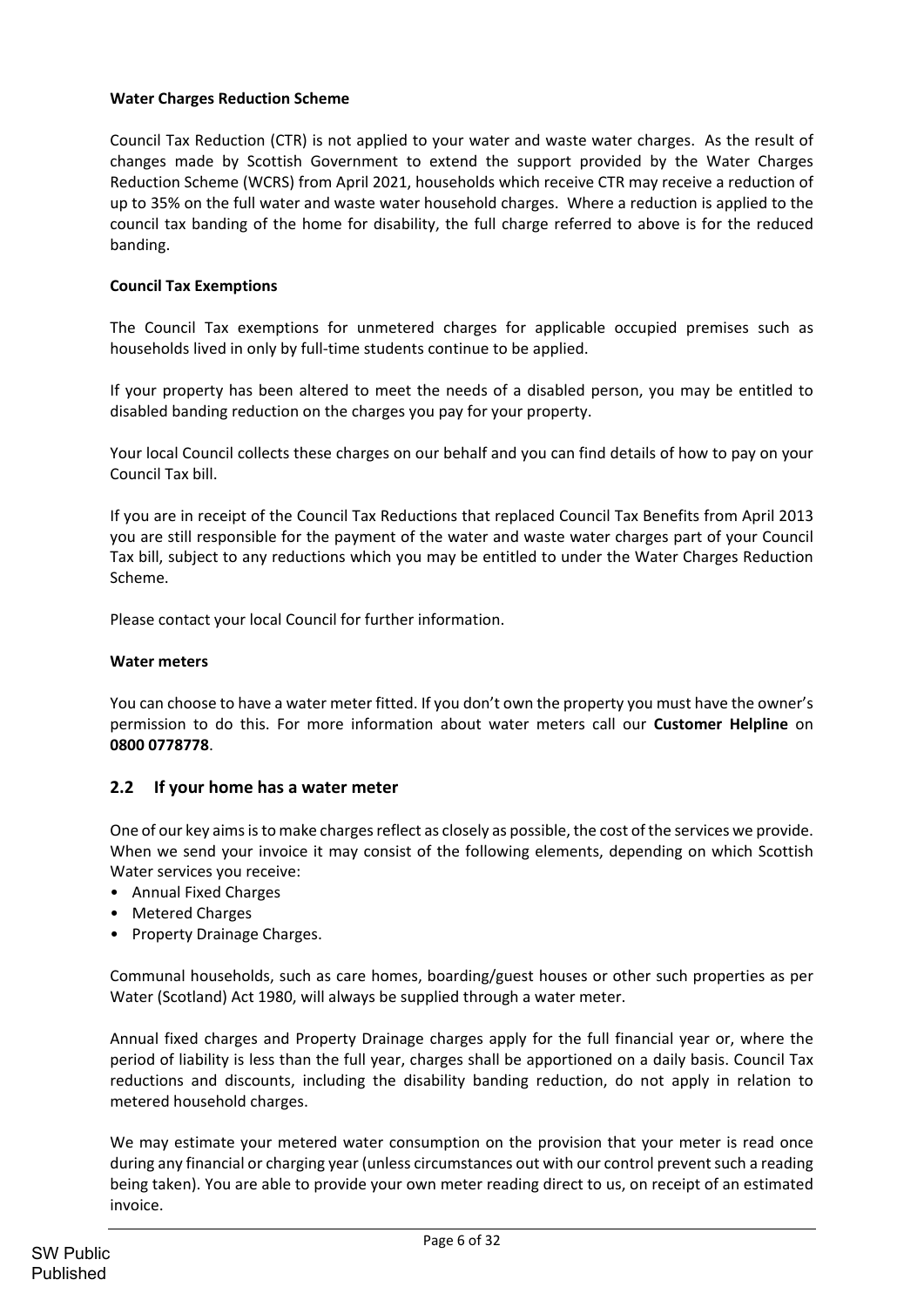## **Water Charges Reduction Scheme**

Council Tax Reduction (CTR) is not applied to your water and waste water charges. As the result of changes made by Scottish Government to extend the support provided by the Water Charges Reduction Scheme (WCRS) from April 2021, households which receive CTR may receive a reduction of up to 35% on the full water and waste water household charges. Where a reduction is applied to the council tax banding of the home for disability, the full charge referred to above is for the reduced banding.

## **Council Tax Exemptions**

The Council Tax exemptions for unmetered charges for applicable occupied premises such as households lived in only by full‐time students continue to be applied.

If your property has been altered to meet the needs of a disabled person, you may be entitled to disabled banding reduction on the charges you pay for your property.

Your local Council collects these charges on our behalf and you can find details of how to pay on your Council Tax bill.

If you are in receipt of the Council Tax Reductions that replaced Council Tax Benefits from April 2013 you are still responsible for the payment of the water and waste water charges part of your Council Tax bill, subject to any reductions which you may be entitled to under the Water Charges Reduction Scheme.

Please contact your local Council for further information.

#### **Water meters**

You can choose to have a water meter fitted. If you don't own the property you must have the owner's permission to do this. For more information about water meters call our **Customer Helpline** on **0800 0778778**.

# **2.2 If your home has a water meter**

One of our key aims is to make charges reflect as closely as possible, the cost of the services we provide. When we send your invoice it may consist of the following elements, depending on which Scottish Water services you receive:

- Annual Fixed Charges
- Metered Charges
- Property Drainage Charges.

Communal households, such as care homes, boarding/guest houses or other such properties as per Water (Scotland) Act 1980, will always be supplied through a water meter.

Annual fixed charges and Property Drainage charges apply for the full financial year or, where the period of liability is less than the full year, charges shall be apportioned on a daily basis. Council Tax reductions and discounts, including the disability banding reduction, do not apply in relation to metered household charges.

We may estimate your metered water consumption on the provision that your meter is read once during any financial or charging year (unless circumstances out with our control prevent such a reading being taken). You are able to provide your own meter reading direct to us, on receipt of an estimated invoice.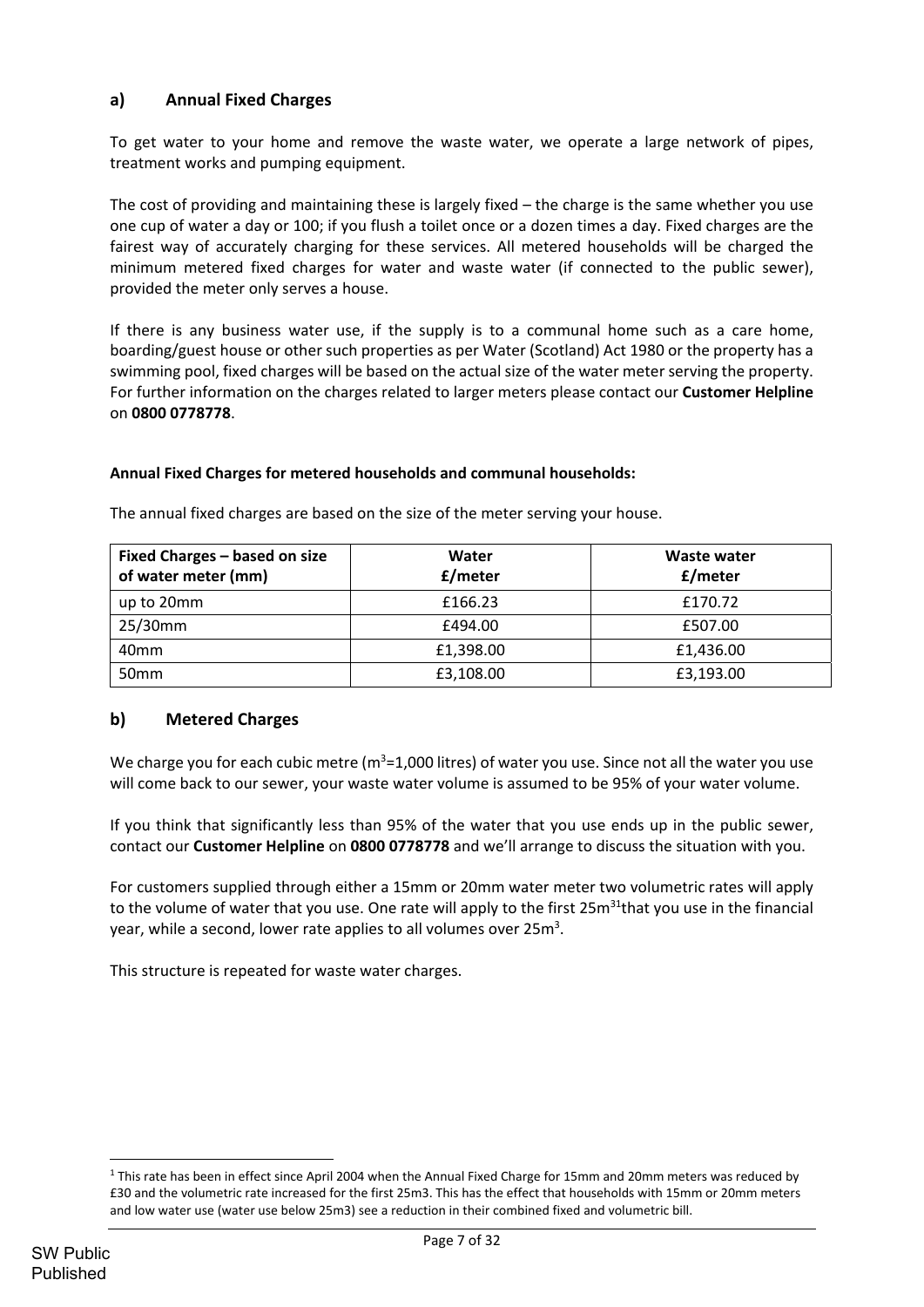# **a) Annual Fixed Charges**

To get water to your home and remove the waste water, we operate a large network of pipes, treatment works and pumping equipment.

The cost of providing and maintaining these is largely fixed – the charge is the same whether you use one cup of water a day or 100; if you flush a toilet once or a dozen times a day. Fixed charges are the fairest way of accurately charging for these services. All metered households will be charged the minimum metered fixed charges for water and waste water (if connected to the public sewer), provided the meter only serves a house.

If there is any business water use, if the supply is to a communal home such as a care home, boarding/guest house or other such properties as per Water (Scotland) Act 1980 or the property has a swimming pool, fixed charges will be based on the actual size of the water meter serving the property. For further information on the charges related to larger meters please contact our **Customer Helpline** on **0800 0778778**.

## **Annual Fixed Charges for metered households and communal households:**

| Fixed Charges - based on size<br>of water meter (mm) | Water<br>£/meter | Waste water<br>£/meter |
|------------------------------------------------------|------------------|------------------------|
| up to 20mm                                           | £166.23          | £170.72                |
| 25/30mm                                              | £494.00          | £507.00                |
| 40 <sub>mm</sub>                                     | £1,398.00        | £1,436.00              |
| 50 <sub>mm</sub>                                     | £3,108.00        | £3,193.00              |

The annual fixed charges are based on the size of the meter serving your house.

# **b) Metered Charges**

We charge you for each cubic metre ( $m^3$ =1,000 litres) of water you use. Since not all the water you use will come back to our sewer, your waste water volume is assumed to be 95% of your water volume.

If you think that significantly less than 95% of the water that you use ends up in the public sewer, contact our **Customer Helpline** on **0800 0778778** and we'll arrange to discuss the situation with you.

For customers supplied through either a 15mm or 20mm water meter two volumetric rates will apply to the volume of water that you use. One rate will apply to the first 25m<sup>31</sup>that you use in the financial year, while a second, lower rate applies to all volumes over 25m<sup>3</sup>.

This structure is repeated for waste water charges.

 $1$  This rate has been in effect since April 2004 when the Annual Fixed Charge for 15mm and 20mm meters was reduced by £30 and the volumetric rate increased for the first 25m3. This has the effect that households with 15mm or 20mm meters and low water use (water use below 25m3) see a reduction in their combined fixed and volumetric bill.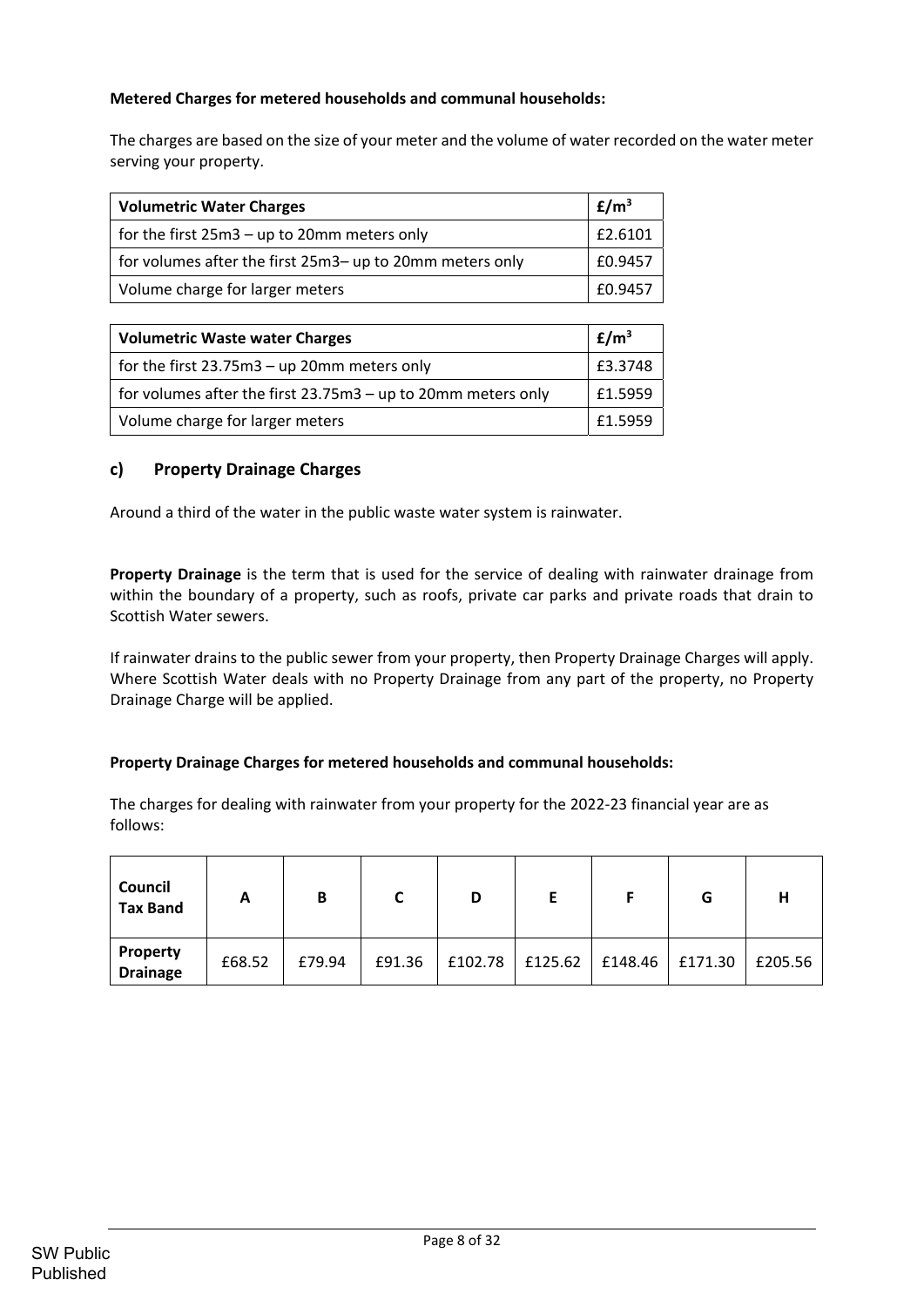# **Metered Charges for metered households and communal households:**

The charges are based on the size of your meter and the volume of water recorded on the water meter serving your property.

| <b>Volumetric Water Charges</b>                          | E/m <sup>3</sup> |
|----------------------------------------------------------|------------------|
| for the first 25m3 - up to 20mm meters only              | £2.6101          |
| for volumes after the first 25m3– up to 20mm meters only | £0.9457          |
| Volume charge for larger meters                          | £0.9457          |

| <b>Volumetric Waste water Charges</b>                        |         |  |  |
|--------------------------------------------------------------|---------|--|--|
| for the first 23.75m3 - up 20mm meters only                  | £3.3748 |  |  |
| for volumes after the first 23.75m3 – up to 20mm meters only | £1.5959 |  |  |
| Volume charge for larger meters                              | £1.5959 |  |  |

# **c) Property Drainage Charges**

Around a third of the water in the public waste water system is rainwater.

**Property Drainage** is the term that is used for the service of dealing with rainwater drainage from within the boundary of a property, such as roofs, private car parks and private roads that drain to Scottish Water sewers.

If rainwater drains to the public sewer from your property, then Property Drainage Charges will apply. Where Scottish Water deals with no Property Drainage from any part of the property, no Property Drainage Charge will be applied.

#### **Property Drainage Charges for metered households and communal households:**

The charges for dealing with rainwater from your property for the 2022‐23 financial year are as follows:

| Council<br><b>Tax Band</b>  | А      | В      |        | D       | Ε       |         | G       | Н       |
|-----------------------------|--------|--------|--------|---------|---------|---------|---------|---------|
| Property<br><b>Drainage</b> | £68.52 | £79.94 | £91.36 | £102.78 | £125.62 | £148.46 | £171.30 | £205.56 |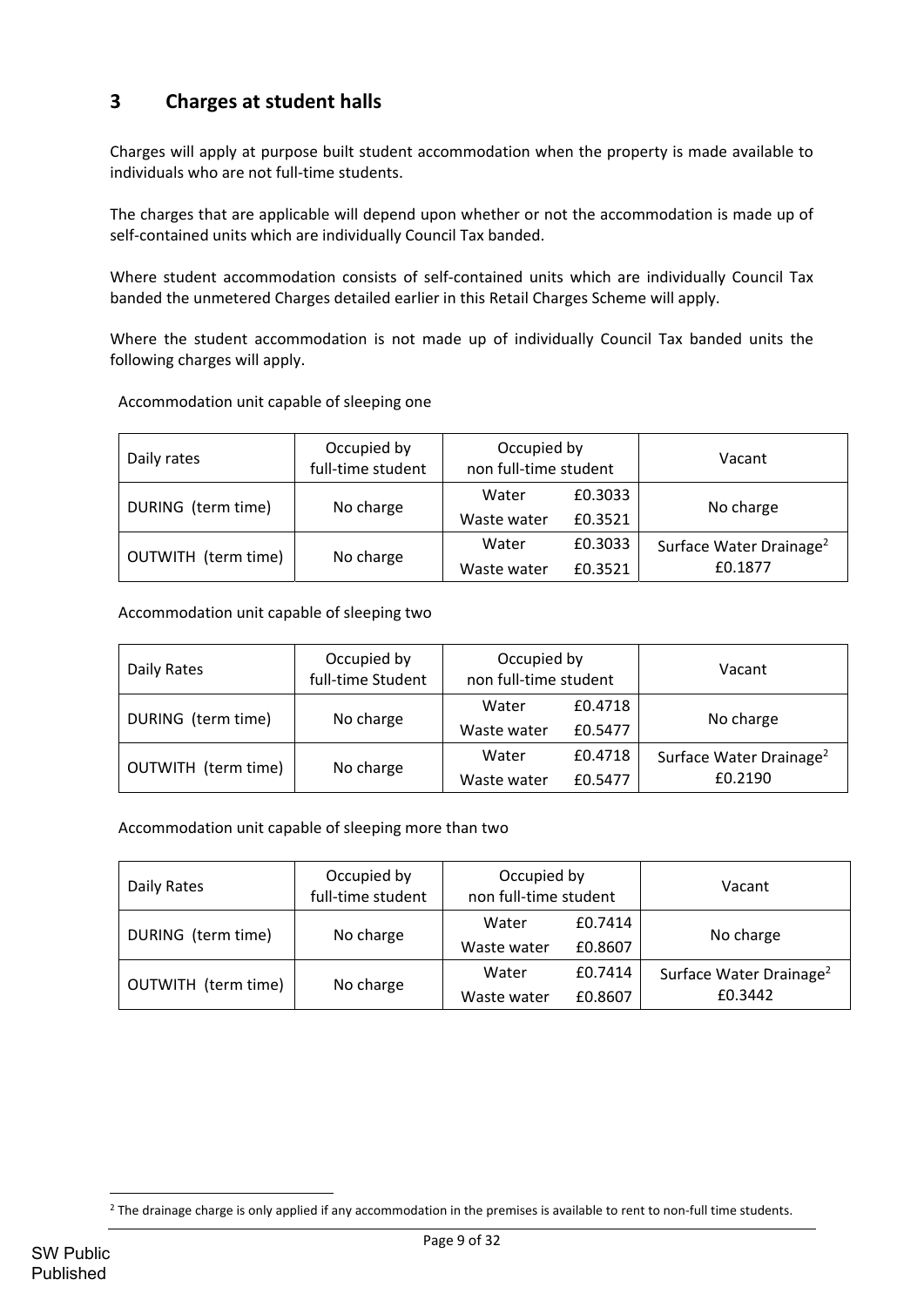# **3 Charges at student halls**

Charges will apply at purpose built student accommodation when the property is made available to individuals who are not full‐time students.

The charges that are applicable will depend upon whether or not the accommodation is made up of self-contained units which are individually Council Tax banded.

Where student accommodation consists of self-contained units which are individually Council Tax banded the unmetered Charges detailed earlier in this Retail Charges Scheme will apply.

Where the student accommodation is not made up of individually Council Tax banded units the following charges will apply.

| Daily rates         | Occupied by<br>full-time student | Occupied by<br>non full-time student |                    | Vacant                                         |
|---------------------|----------------------------------|--------------------------------------|--------------------|------------------------------------------------|
| DURING (term time)  | No charge                        | Water<br>Waste water                 | £0.3033<br>£0.3521 | No charge                                      |
| OUTWITH (term time) | No charge                        | Water<br>Waste water                 | £0.3033<br>£0.3521 | Surface Water Drainage <sup>2</sup><br>£0.1877 |

Accommodation unit capable of sleeping one

#### Accommodation unit capable of sleeping two

| Daily Rates         | Occupied by<br>full-time Student | Occupied by<br>non full-time student |         | Vacant                              |
|---------------------|----------------------------------|--------------------------------------|---------|-------------------------------------|
| DURING (term time)  | No charge                        | Water                                | £0.4718 | No charge                           |
|                     |                                  | Waste water                          | £0.5477 |                                     |
| OUTWITH (term time) | No charge                        | Water                                | £0.4718 | Surface Water Drainage <sup>2</sup> |
|                     |                                  | Waste water                          | £0.5477 | £0.2190                             |

Accommodation unit capable of sleeping more than two

| Daily Rates         | Occupied by<br>full-time student | Occupied by<br>non full-time student |                    | Vacant                                         |
|---------------------|----------------------------------|--------------------------------------|--------------------|------------------------------------------------|
| DURING (term time)  | No charge                        | Water<br>Waste water                 | £0.7414<br>£0.8607 | No charge                                      |
| OUTWITH (term time) | No charge                        | Water<br>Waste water                 | £0.7414<br>£0.8607 | Surface Water Drainage <sup>2</sup><br>£0.3442 |

<sup>&</sup>lt;sup>2</sup> The drainage charge is only applied if any accommodation in the premises is available to rent to non-full time students.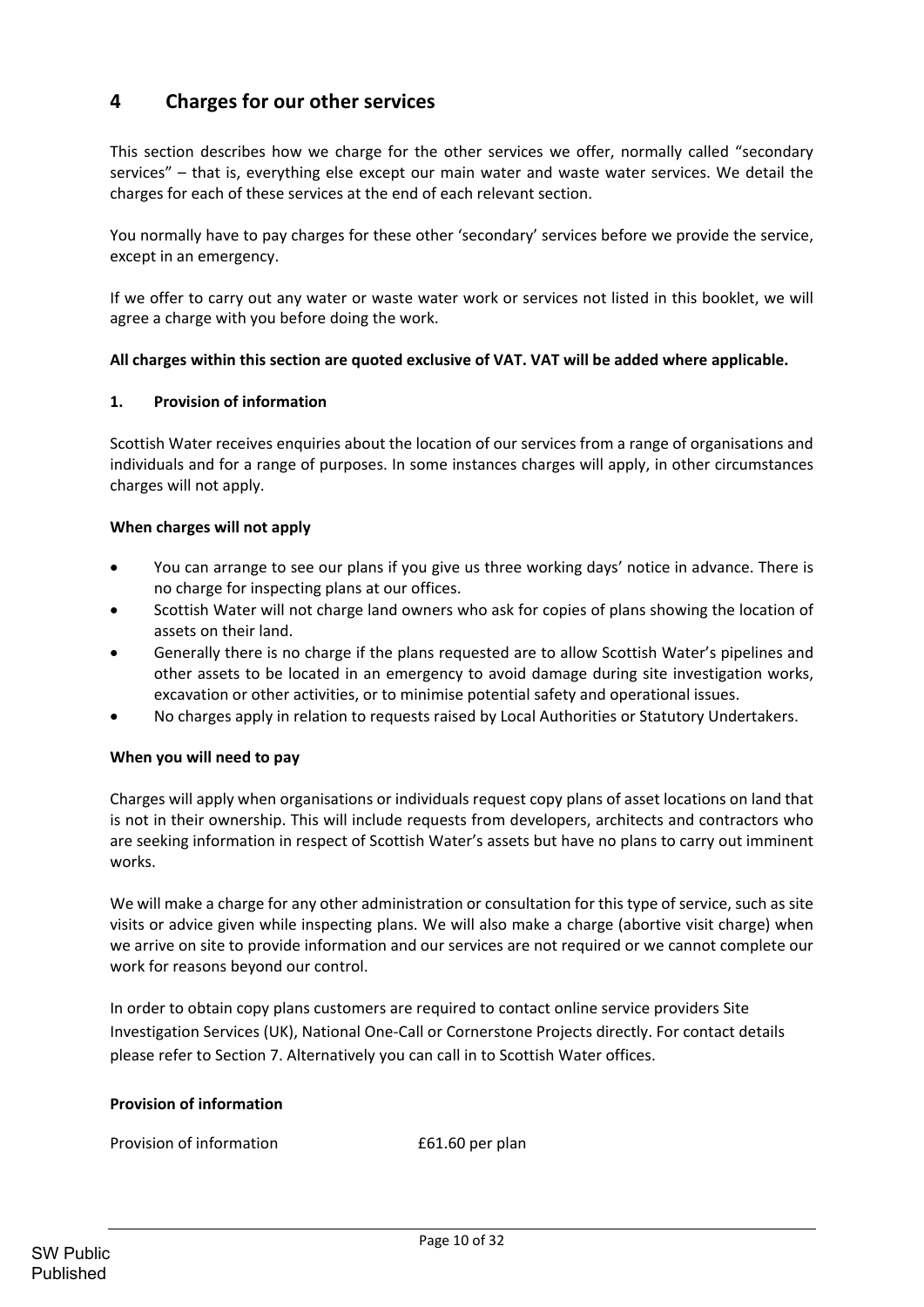# **4 Charges for our other services**

This section describes how we charge for the other services we offer, normally called "secondary services" – that is, everything else except our main water and waste water services. We detail the charges for each of these services at the end of each relevant section.

You normally have to pay charges for these other 'secondary' services before we provide the service, except in an emergency.

If we offer to carry out any water or waste water work or services not listed in this booklet, we will agree a charge with you before doing the work.

#### **All charges within this section are quoted exclusive of VAT. VAT will be added where applicable.**

#### **1. Provision of information**

Scottish Water receives enquiries about the location of our services from a range of organisations and individuals and for a range of purposes. In some instances charges will apply, in other circumstances charges will not apply.

## **When charges will not apply**

- You can arrange to see our plans if you give us three working days' notice in advance. There is no charge for inspecting plans at our offices.
- Scottish Water will not charge land owners who ask for copies of plans showing the location of assets on their land.
- Generally there is no charge if the plans requested are to allow Scottish Water's pipelines and other assets to be located in an emergency to avoid damage during site investigation works, excavation or other activities, or to minimise potential safety and operational issues.
- No charges apply in relation to requests raised by Local Authorities or Statutory Undertakers.

#### **When you will need to pay**

Charges will apply when organisations or individuals request copy plans of asset locations on land that is not in their ownership. This will include requests from developers, architects and contractors who are seeking information in respect of Scottish Water's assets but have no plans to carry out imminent works.

We will make a charge for any other administration or consultation for this type of service, such as site visits or advice given while inspecting plans. We will also make a charge (abortive visit charge) when we arrive on site to provide information and our services are not required or we cannot complete our work for reasons beyond our control.

In order to obtain copy plans customers are required to contact online service providers Site Investigation Services (UK), National One‐Call or Cornerstone Projects directly. For contact details please refer to Section 7. Alternatively you can call in to Scottish Water offices.

#### **Provision of information**

Provision of information **E61.60** per plan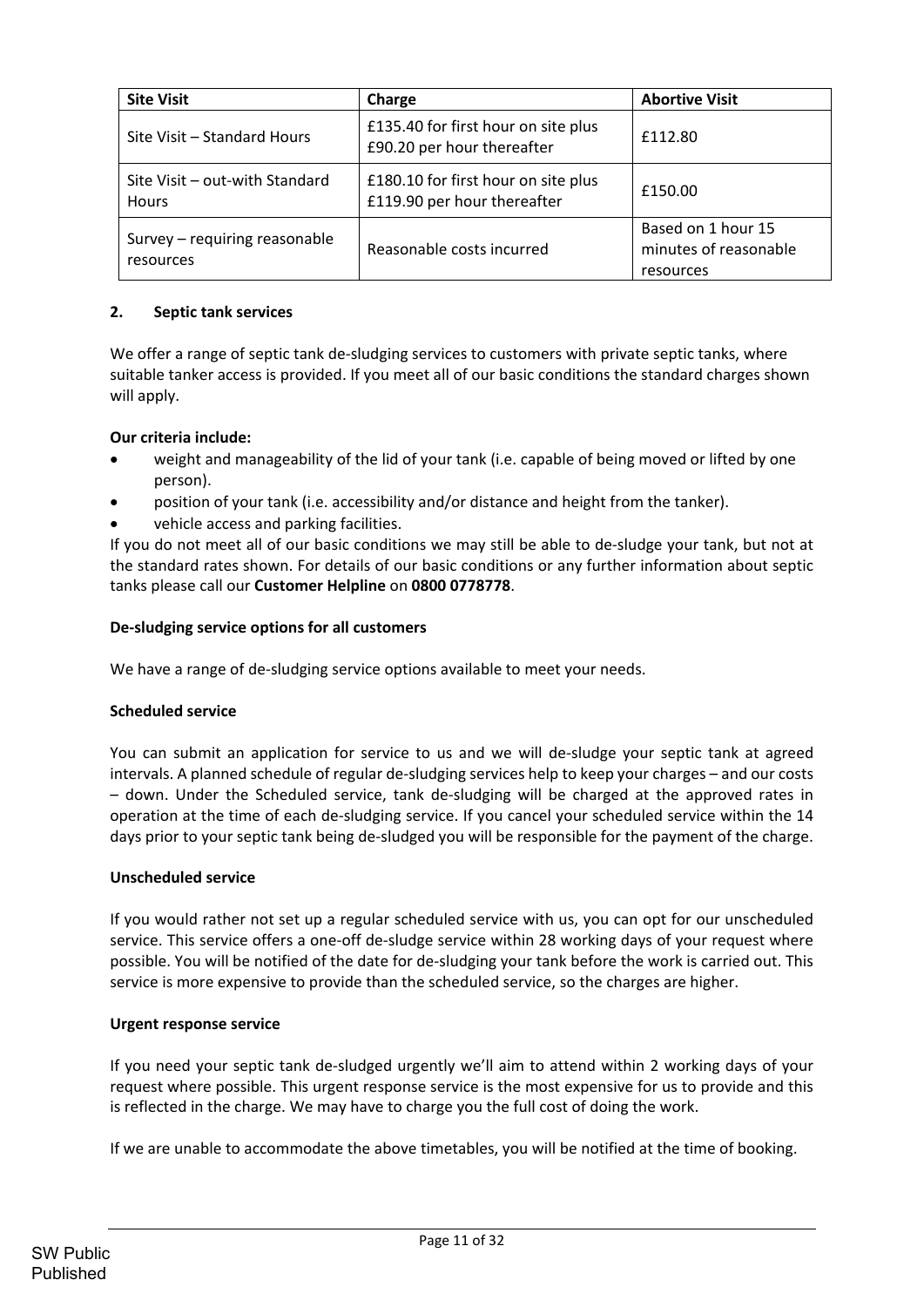| <b>Site Visit</b>                              | Charge                                                             | <b>Abortive Visit</b>                                    |
|------------------------------------------------|--------------------------------------------------------------------|----------------------------------------------------------|
| Site Visit - Standard Hours                    | £135.40 for first hour on site plus<br>£90.20 per hour thereafter  | £112.80                                                  |
| Site Visit - out-with Standard<br><b>Hours</b> | £180.10 for first hour on site plus<br>£119.90 per hour thereafter | £150.00                                                  |
| Survey - requiring reasonable<br>resources     | Reasonable costs incurred                                          | Based on 1 hour 15<br>minutes of reasonable<br>resources |

# **2. Septic tank services**

We offer a range of septic tank de-sludging services to customers with private septic tanks, where suitable tanker access is provided. If you meet all of our basic conditions the standard charges shown will apply.

# **Our criteria include:**

- weight and manageability of the lid of your tank (i.e. capable of being moved or lifted by one person).
- position of your tank (i.e. accessibility and/or distance and height from the tanker).
- vehicle access and parking facilities.

If you do not meet all of our basic conditions we may still be able to de‐sludge your tank, but not at the standard rates shown. For details of our basic conditions or any further information about septic tanks please call our **Customer Helpline** on **0800 0778778**.

# **De‐sludging service options for all customers**

We have a range of de-sludging service options available to meet your needs.

#### **Scheduled service**

You can submit an application for service to us and we will de-sludge your septic tank at agreed intervals. A planned schedule of regular de‐sludging services help to keep your charges – and our costs – down. Under the Scheduled service, tank de‐sludging will be charged at the approved rates in operation at the time of each de‐sludging service. If you cancel your scheduled service within the 14 days prior to your septic tank being de‐sludged you will be responsible for the payment of the charge.

#### **Unscheduled service**

If you would rather not set up a regular scheduled service with us, you can opt for our unscheduled service. This service offers a one-off de-sludge service within 28 working days of your request where possible. You will be notified of the date for de‐sludging your tank before the work is carried out. This service is more expensive to provide than the scheduled service, so the charges are higher.

#### **Urgent response service**

If you need your septic tank de-sludged urgently we'll aim to attend within 2 working days of your request where possible. This urgent response service is the most expensive for us to provide and this is reflected in the charge. We may have to charge you the full cost of doing the work.

If we are unable to accommodate the above timetables, you will be notified at the time of booking.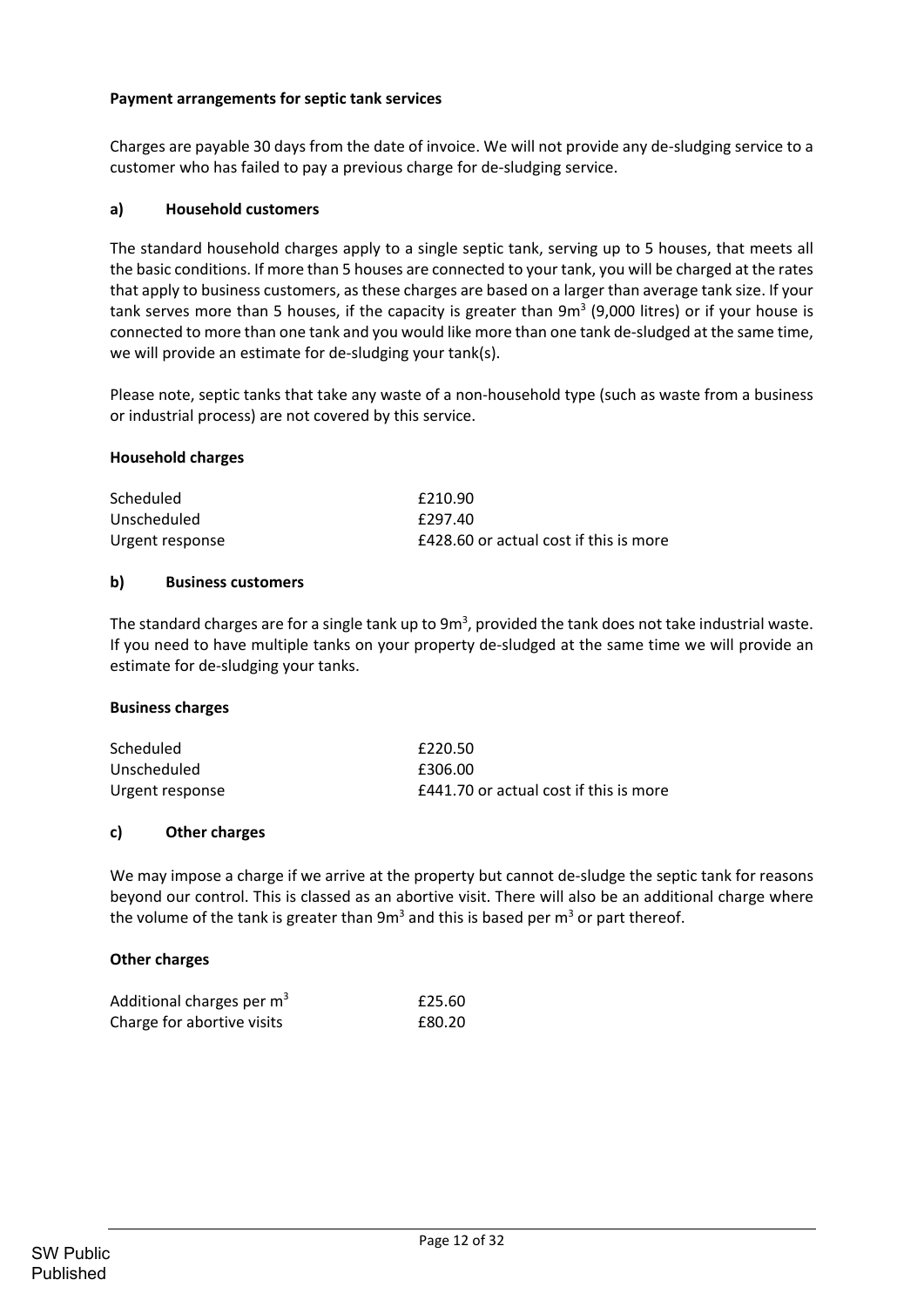## **Payment arrangements for septic tank services**

Charges are payable 30 days from the date of invoice. We will not provide any de‐sludging service to a customer who has failed to pay a previous charge for de‐sludging service.

#### **a) Household customers**

The standard household charges apply to a single septic tank, serving up to 5 houses, that meets all the basic conditions. If more than 5 houses are connected to your tank, you will be charged at the rates that apply to business customers, as these charges are based on a larger than average tank size. If your tank serves more than 5 houses, if the capacity is greater than  $9m<sup>3</sup>$  (9,000 litres) or if your house is connected to more than one tank and you would like more than one tank de‐sludged at the same time, we will provide an estimate for de-sludging your tank(s).

Please note, septic tanks that take any waste of a non‐household type (such as waste from a business or industrial process) are not covered by this service.

#### **Household charges**

| Scheduled       | £210.90                                |
|-----------------|----------------------------------------|
| Unscheduled     | £297.40                                |
| Urgent response | £428.60 or actual cost if this is more |

#### **b) Business customers**

The standard charges are for a single tank up to 9m<sup>3</sup>, provided the tank does not take industrial waste. If you need to have multiple tanks on your property de‐sludged at the same time we will provide an estimate for de‐sludging your tanks.

#### **Business charges**

| Scheduled       | £220.50                                       |
|-----------------|-----------------------------------------------|
| Unscheduled     | £306.00                                       |
| Urgent response | <b>£441.70 or actual cost if this is more</b> |

#### **c) Other charges**

We may impose a charge if we arrive at the property but cannot de-sludge the septic tank for reasons beyond our control. This is classed as an abortive visit. There will also be an additional charge where the volume of the tank is greater than  $9m<sup>3</sup>$  and this is based per  $m<sup>3</sup>$  or part thereof.

#### **Other charges**

| Additional charges per m <sup>3</sup> | £25.60 |
|---------------------------------------|--------|
| Charge for abortive visits            | £80.20 |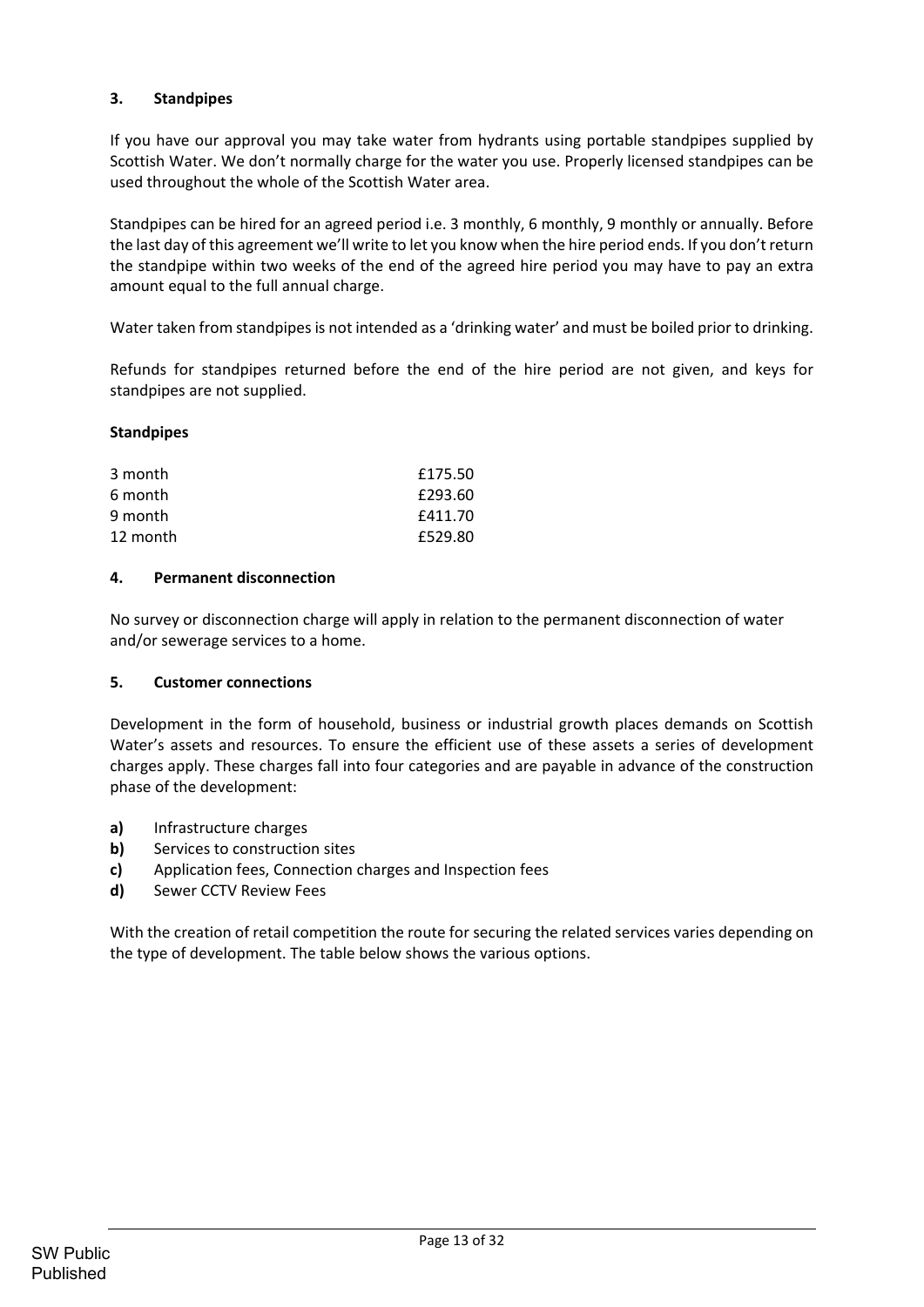# **3. Standpipes**

If you have our approval you may take water from hydrants using portable standpipes supplied by Scottish Water. We don't normally charge for the water you use. Properly licensed standpipes can be used throughout the whole of the Scottish Water area.

Standpipes can be hired for an agreed period i.e. 3 monthly, 6 monthly, 9 monthly or annually. Before the last day of this agreement we'll write to let you know when the hire period ends. If you don't return the standpipe within two weeks of the end of the agreed hire period you may have to pay an extra amount equal to the full annual charge.

Water taken from standpipes is not intended as a 'drinking water' and must be boiled prior to drinking.

Refunds for standpipes returned before the end of the hire period are not given, and keys for standpipes are not supplied.

## **Standpipes**

| 3 month  | £175.50 |
|----------|---------|
| 6 month  | £293.60 |
| 9 month  | £411.70 |
| 12 month | £529.80 |

#### **4. Permanent disconnection**

No survey or disconnection charge will apply in relation to the permanent disconnection of water and/or sewerage services to a home.

#### **5. Customer connections**

Development in the form of household, business or industrial growth places demands on Scottish Water's assets and resources. To ensure the efficient use of these assets a series of development charges apply. These charges fall into four categories and are payable in advance of the construction phase of the development:

- **a)** Infrastructure charges
- **b)** Services to construction sites
- **c)**  Application fees, Connection charges and Inspection fees
- **d)** Sewer CCTV Review Fees

With the creation of retail competition the route for securing the related services varies depending on the type of development. The table below shows the various options.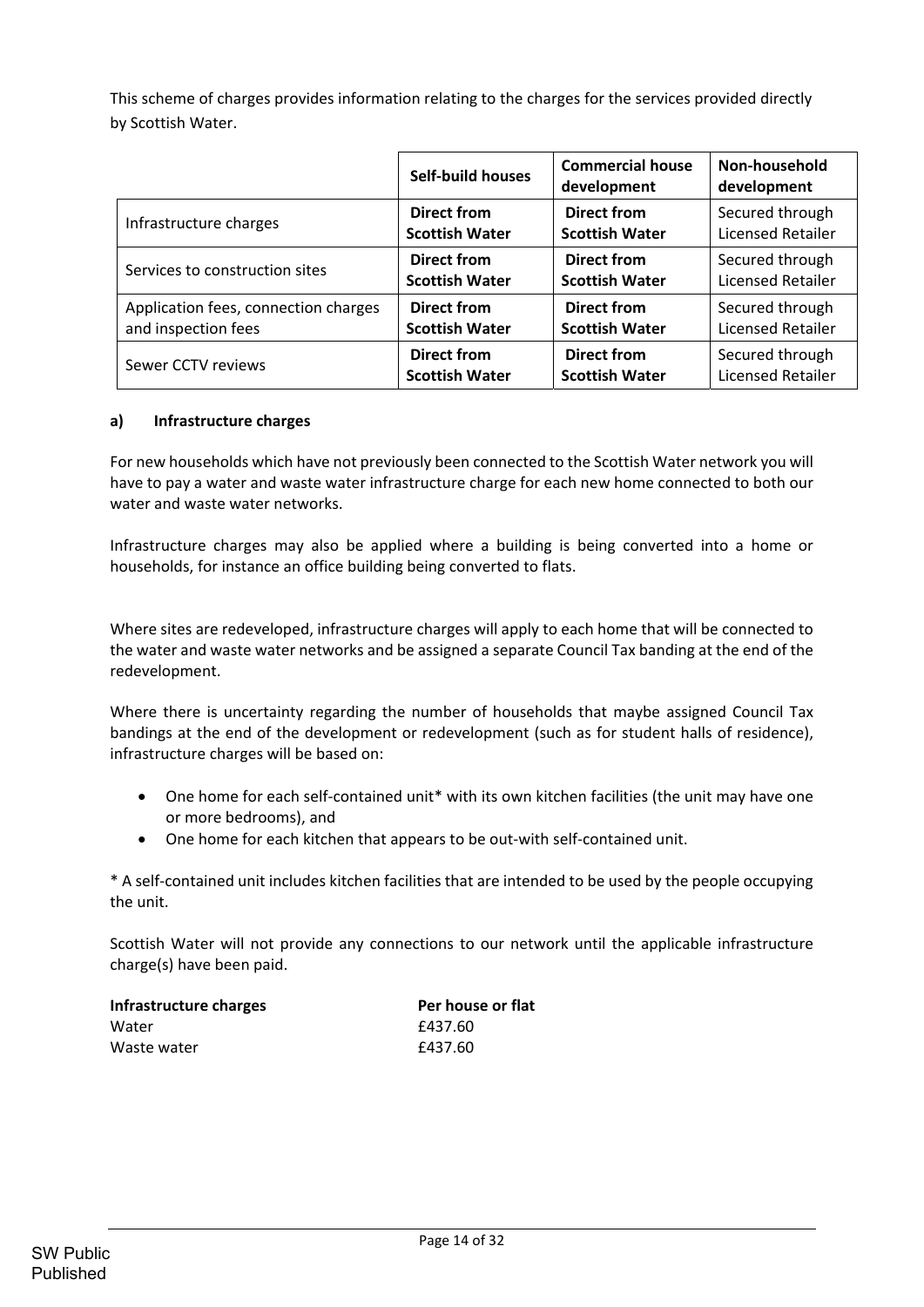This scheme of charges provides information relating to the charges for the services provided directly by Scottish Water.

|                                      | <b>Self-build houses</b> | <b>Commercial house</b><br>development | Non-household<br>development |
|--------------------------------------|--------------------------|----------------------------------------|------------------------------|
| Infrastructure charges               | <b>Direct from</b>       | <b>Direct from</b>                     | Secured through              |
|                                      | <b>Scottish Water</b>    | <b>Scottish Water</b>                  | <b>Licensed Retailer</b>     |
| Services to construction sites       | <b>Direct from</b>       | <b>Direct from</b>                     | Secured through              |
|                                      | <b>Scottish Water</b>    | <b>Scottish Water</b>                  | <b>Licensed Retailer</b>     |
| Application fees, connection charges | <b>Direct from</b>       | <b>Direct from</b>                     | Secured through              |
| and inspection fees                  | <b>Scottish Water</b>    | <b>Scottish Water</b>                  | <b>Licensed Retailer</b>     |
| Sewer CCTV reviews                   | <b>Direct from</b>       | <b>Direct from</b>                     | Secured through              |
|                                      | <b>Scottish Water</b>    | <b>Scottish Water</b>                  | <b>Licensed Retailer</b>     |

## **a) Infrastructure charges**

For new households which have not previously been connected to the Scottish Water network you will have to pay a water and waste water infrastructure charge for each new home connected to both our water and waste water networks.

Infrastructure charges may also be applied where a building is being converted into a home or households, for instance an office building being converted to flats.

Where sites are redeveloped, infrastructure charges will apply to each home that will be connected to the water and waste water networks and be assigned a separate Council Tax banding at the end of the redevelopment.

Where there is uncertainty regarding the number of households that maybe assigned Council Tax bandings at the end of the development or redevelopment (such as for student halls of residence), infrastructure charges will be based on:

- One home for each self-contained unit<sup>\*</sup> with its own kitchen facilities (the unit may have one or more bedrooms), and
- One home for each kitchen that appears to be out-with self-contained unit.

\* A self‐contained unit includes kitchen facilities that are intended to be used by the people occupying the unit.

Scottish Water will not provide any connections to our network until the applicable infrastructure charge(s) have been paid.

| Infrastructure charges | Per house or flat |
|------------------------|-------------------|
| Water                  | £437.60           |
| Waste water            | £437.60           |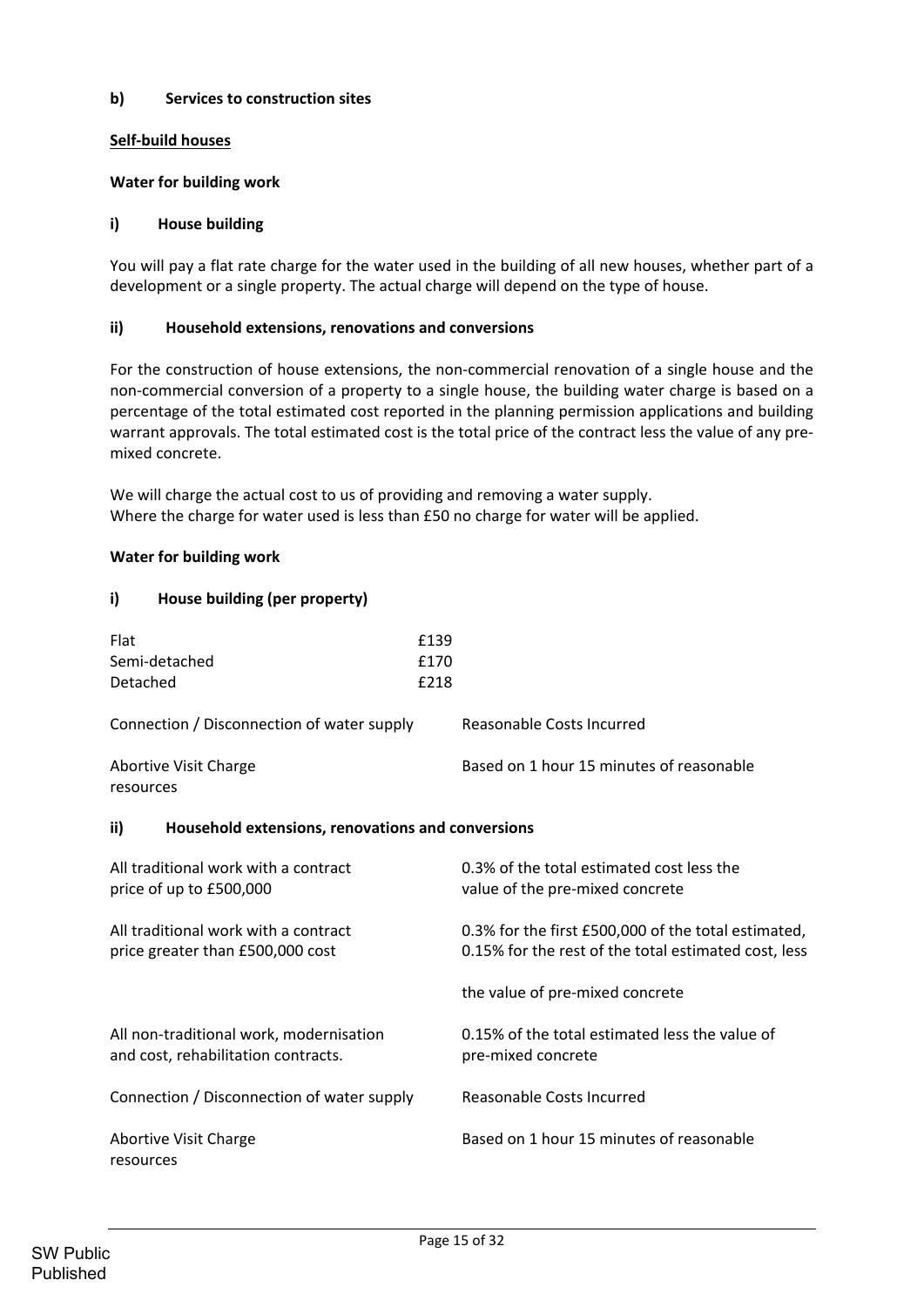## **b) Services to construction sites**

# **Self‐build houses**

#### **Water for building work**

#### **i) House building**

You will pay a flat rate charge for the water used in the building of all new houses, whether part of a development or a single property. The actual charge will depend on the type of house.

#### **ii) Household extensions, renovations and conversions**

For the construction of house extensions, the non-commercial renovation of a single house and the non‐commercial conversion of a property to a single house, the building water charge is based on a percentage of the total estimated cost reported in the planning permission applications and building warrant approvals. The total estimated cost is the total price of the contract less the value of any premixed concrete.

We will charge the actual cost to us of providing and removing a water supply. Where the charge for water used is less than £50 no charge for water will be applied.

#### **Water for building work**

## **i) House building (per property)**

| Flat<br>Semi-detached<br>Detached                                              | £139<br>£170<br>£218 |                                                                                                             |
|--------------------------------------------------------------------------------|----------------------|-------------------------------------------------------------------------------------------------------------|
| Connection / Disconnection of water supply                                     |                      | Reasonable Costs Incurred                                                                                   |
| <b>Abortive Visit Charge</b><br>resources                                      |                      | Based on 1 hour 15 minutes of reasonable                                                                    |
| ii)<br>Household extensions, renovations and conversions                       |                      |                                                                                                             |
| All traditional work with a contract<br>price of up to £500,000                |                      | 0.3% of the total estimated cost less the<br>value of the pre-mixed concrete                                |
| All traditional work with a contract<br>price greater than £500,000 cost       |                      | 0.3% for the first £500,000 of the total estimated,<br>0.15% for the rest of the total estimated cost, less |
|                                                                                |                      | the value of pre-mixed concrete                                                                             |
| All non-traditional work, modernisation<br>and cost, rehabilitation contracts. |                      | 0.15% of the total estimated less the value of<br>pre-mixed concrete                                        |
| Connection / Disconnection of water supply                                     |                      | Reasonable Costs Incurred                                                                                   |
| <b>Abortive Visit Charge</b><br>resources                                      |                      | Based on 1 hour 15 minutes of reasonable                                                                    |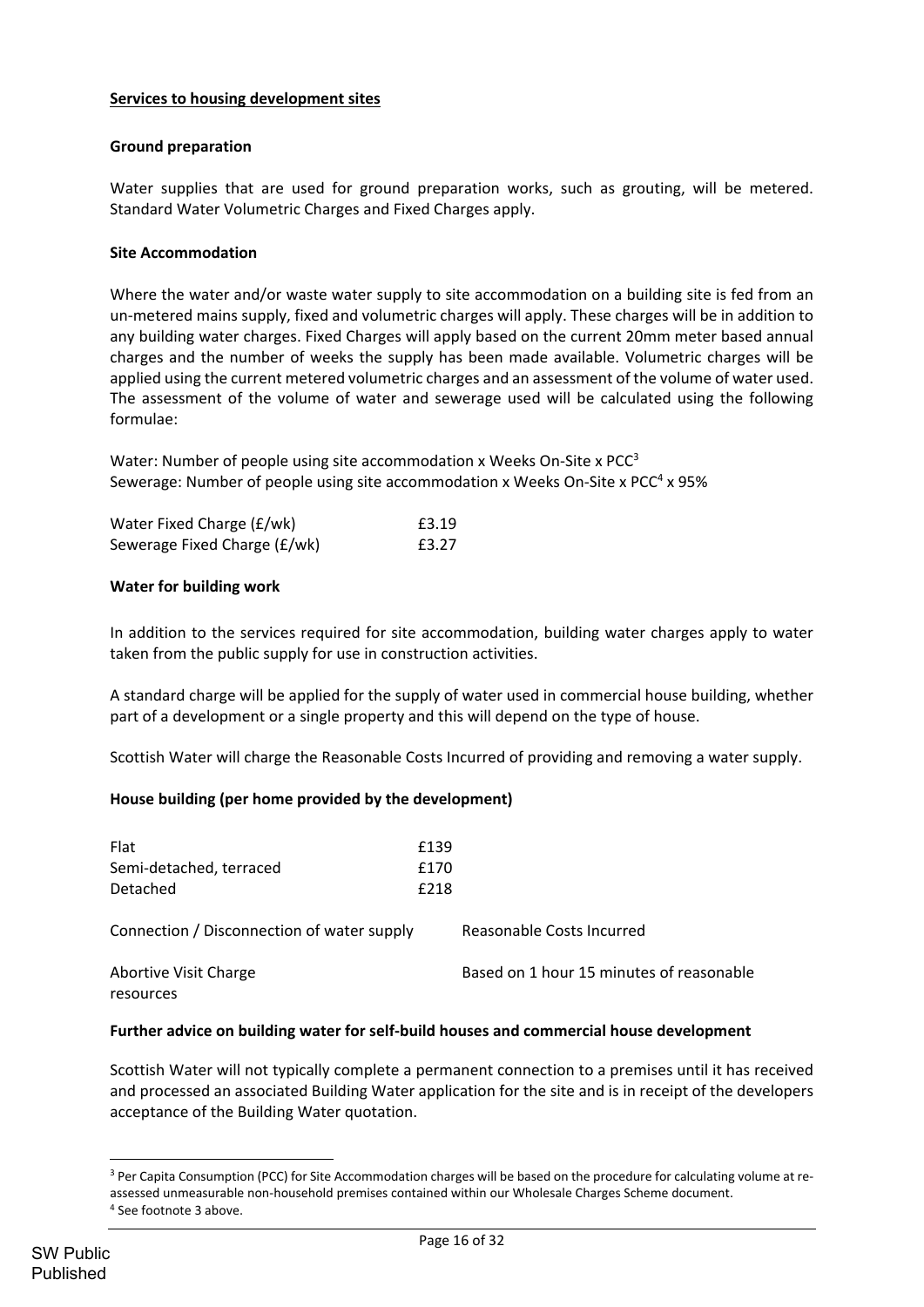## **Services to housing development sites**

#### **Ground preparation**

Water supplies that are used for ground preparation works, such as grouting, will be metered. Standard Water Volumetric Charges and Fixed Charges apply.

#### **Site Accommodation**

Where the water and/or waste water supply to site accommodation on a building site is fed from an un‐metered mains supply, fixed and volumetric charges will apply. These charges will be in addition to any building water charges. Fixed Charges will apply based on the current 20mm meter based annual charges and the number of weeks the supply has been made available. Volumetric charges will be applied using the current metered volumetric charges and an assessment of the volume of water used. The assessment of the volume of water and sewerage used will be calculated using the following formulae:

Water: Number of people using site accommodation x Weeks On-Site x  $PCC^3$ Sewerage: Number of people using site accommodation x Weeks On-Site x  $PCC<sup>4</sup>$  x 95%

| Water Fixed Charge (£/wk)    | £3.19 |
|------------------------------|-------|
| Sewerage Fixed Charge (£/wk) | £3.27 |

#### **Water for building work**

In addition to the services required for site accommodation, building water charges apply to water taken from the public supply for use in construction activities.

A standard charge will be applied for the supply of water used in commercial house building, whether part of a development or a single property and this will depend on the type of house.

Scottish Water will charge the Reasonable Costs Incurred of providing and removing a water supply.

#### **House building (per home provided by the development)**

| Flat<br>Semi-detached, terraced<br>Detached | £139<br>£170<br>£218 |                                          |
|---------------------------------------------|----------------------|------------------------------------------|
| Connection / Disconnection of water supply  |                      | Reasonable Costs Incurred                |
| <b>Abortive Visit Charge</b><br>resources   |                      | Based on 1 hour 15 minutes of reasonable |

#### **Further advice on building water for self‐build houses and commercial house development**

Scottish Water will not typically complete a permanent connection to a premises until it has received and processed an associated Building Water application for the site and is in receipt of the developers acceptance of the Building Water quotation.

<sup>&</sup>lt;sup>3</sup> Per Capita Consumption (PCC) for Site Accommodation charges will be based on the procedure for calculating volume at reassessed unmeasurable non‐household premises contained within our Wholesale Charges Scheme document.

<sup>4</sup> See footnote 3 above.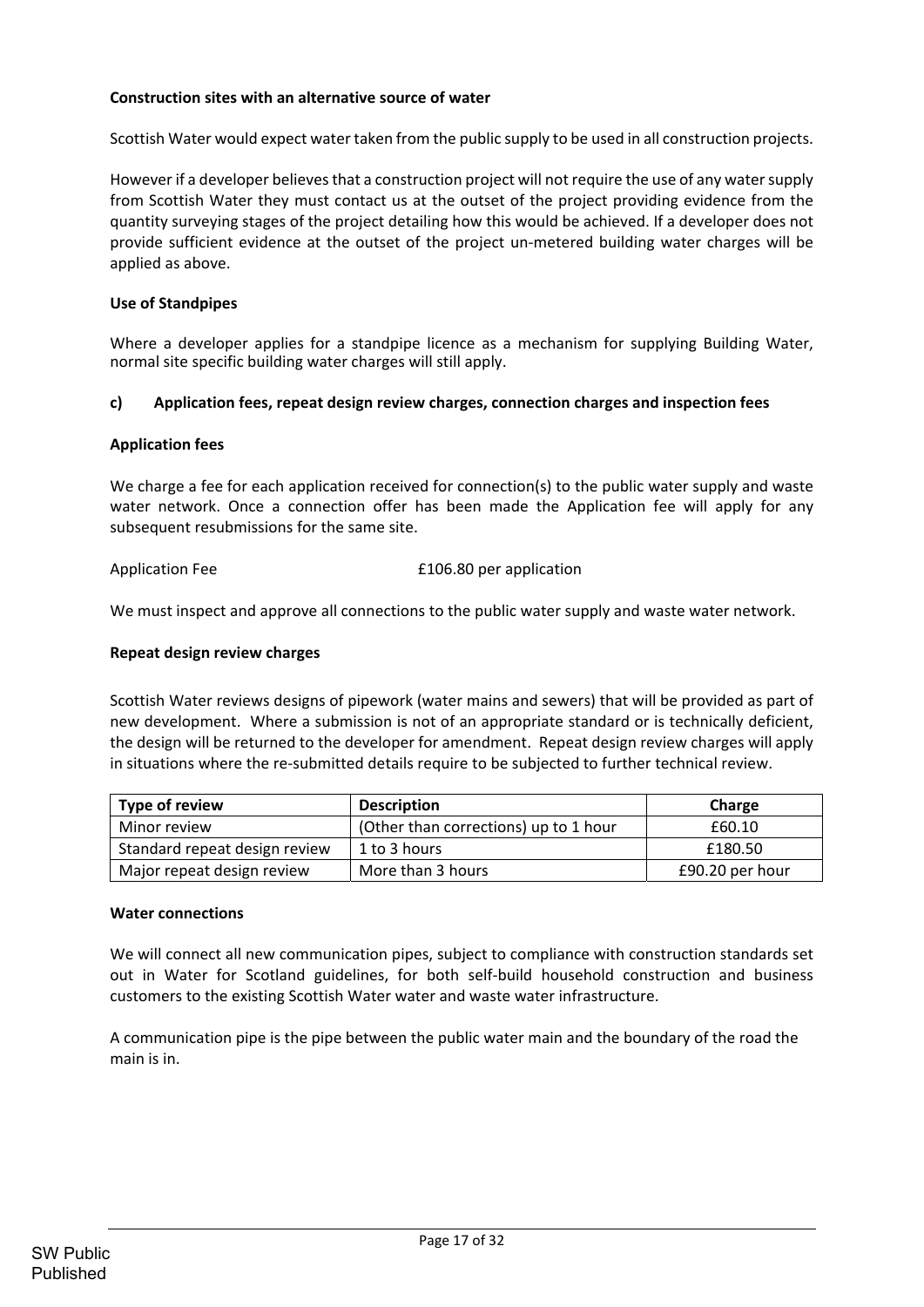## **Construction sites with an alternative source of water**

Scottish Water would expect water taken from the public supply to be used in all construction projects.

However if a developer believes that a construction project will not require the use of any water supply from Scottish Water they must contact us at the outset of the project providing evidence from the quantity surveying stages of the project detailing how this would be achieved. If a developer does not provide sufficient evidence at the outset of the project un‐metered building water charges will be applied as above.

#### **Use of Standpipes**

Where a developer applies for a standpipe licence as a mechanism for supplying Building Water, normal site specific building water charges will still apply.

## **c) Application fees, repeat design review charges, connection charges and inspection fees**

#### **Application fees**

We charge a fee for each application received for connection(s) to the public water supply and waste water network. Once a connection offer has been made the Application fee will apply for any subsequent resubmissions for the same site.

Application Fee <br>**E106.80** per application

We must inspect and approve all connections to the public water supply and waste water network.

#### **Repeat design review charges**

Scottish Water reviews designs of pipework (water mains and sewers) that will be provided as part of new development. Where a submission is not of an appropriate standard or is technically deficient, the design will be returned to the developer for amendment. Repeat design review charges will apply in situations where the re-submitted details require to be subjected to further technical review.

| Type of review                | <b>Description</b>                    | Charge          |
|-------------------------------|---------------------------------------|-----------------|
| Minor review                  | (Other than corrections) up to 1 hour | £60.10          |
| Standard repeat design review | 1 to 3 hours                          | £180.50         |
| Major repeat design review    | More than 3 hours                     | £90.20 per hour |

#### **Water connections**

We will connect all new communication pipes, subject to compliance with construction standards set out in Water for Scotland guidelines, for both self‐build household construction and business customers to the existing Scottish Water water and waste water infrastructure.

A communication pipe is the pipe between the public water main and the boundary of the road the main is in.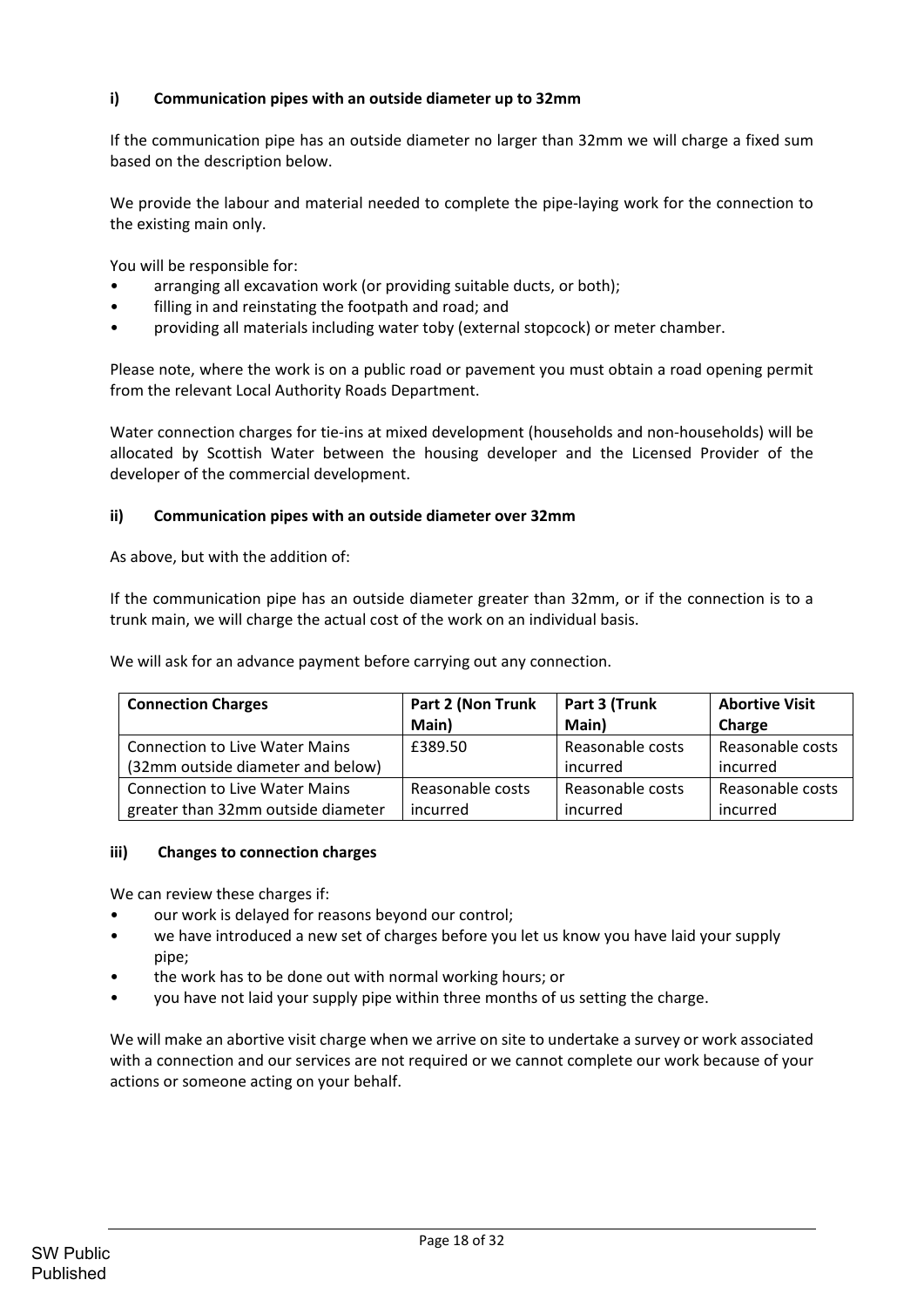# **i) Communication pipes with an outside diameter up to 32mm**

If the communication pipe has an outside diameter no larger than 32mm we will charge a fixed sum based on the description below.

We provide the labour and material needed to complete the pipe-laying work for the connection to the existing main only.

You will be responsible for:

- arranging all excavation work (or providing suitable ducts, or both);
- filling in and reinstating the footpath and road; and
- providing all materials including water toby (external stopcock) or meter chamber.

Please note, where the work is on a public road or pavement you must obtain a road opening permit from the relevant Local Authority Roads Department.

Water connection charges for tie-ins at mixed development (households and non-households) will be allocated by Scottish Water between the housing developer and the Licensed Provider of the developer of the commercial development.

## **ii) Communication pipes with an outside diameter over 32mm**

As above, but with the addition of:

If the communication pipe has an outside diameter greater than 32mm, or if the connection is to a trunk main, we will charge the actual cost of the work on an individual basis.

We will ask for an advance payment before carrying out any connection.

| <b>Connection Charges</b>             | Part 2 (Non Trunk | Part 3 (Trunk    | <b>Abortive Visit</b> |
|---------------------------------------|-------------------|------------------|-----------------------|
|                                       | Main)             | Main)            | Charge                |
| <b>Connection to Live Water Mains</b> | £389.50           | Reasonable costs | Reasonable costs      |
| (32mm outside diameter and below)     |                   | incurred         | incurred              |
| <b>Connection to Live Water Mains</b> | Reasonable costs  | Reasonable costs | Reasonable costs      |
| greater than 32mm outside diameter    | incurred          | incurred         | incurred              |

#### **iii) Changes to connection charges**

We can review these charges if:

- our work is delayed for reasons beyond our control;
- we have introduced a new set of charges before you let us know you have laid your supply pipe;
- the work has to be done out with normal working hours; or
- you have not laid your supply pipe within three months of us setting the charge.

We will make an abortive visit charge when we arrive on site to undertake a survey or work associated with a connection and our services are not required or we cannot complete our work because of your actions or someone acting on your behalf.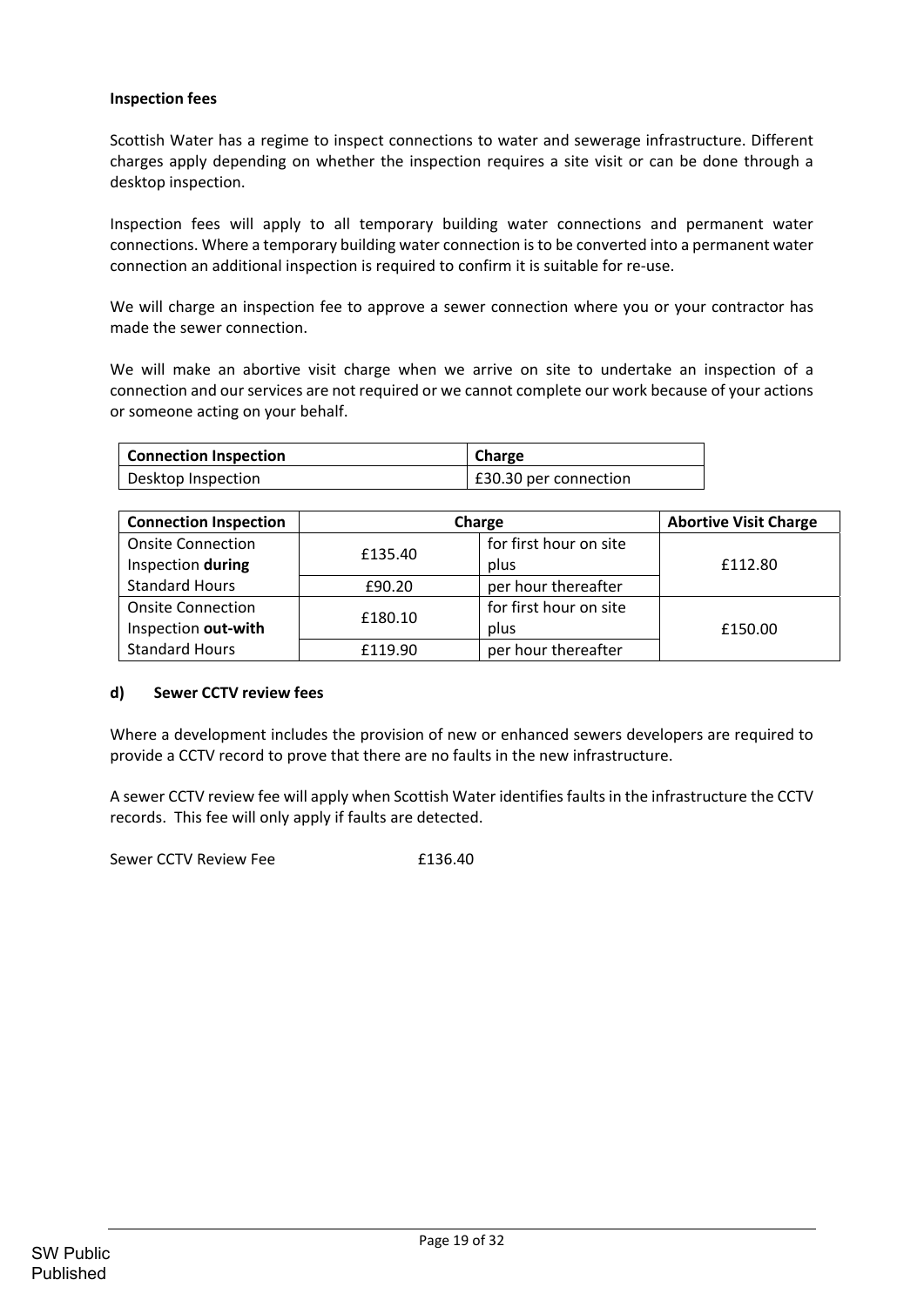## **Inspection fees**

Scottish Water has a regime to inspect connections to water and sewerage infrastructure. Different charges apply depending on whether the inspection requires a site visit or can be done through a desktop inspection.

Inspection fees will apply to all temporary building water connections and permanent water connections. Where a temporary building water connection isto be converted into a permanent water connection an additional inspection is required to confirm it is suitable for re‐use.

We will charge an inspection fee to approve a sewer connection where you or your contractor has made the sewer connection.

We will make an abortive visit charge when we arrive on site to undertake an inspection of a connection and our services are not required or we cannot complete our work because of your actions or someone acting on your behalf.

| <b>Connection Inspection</b> | Charge                |
|------------------------------|-----------------------|
| Desktop Inspection           | £30.30 per connection |

| <b>Connection Inspection</b>   | Charge  | <b>Abortive Visit Charge</b> |         |  |  |  |  |
|--------------------------------|---------|------------------------------|---------|--|--|--|--|
| <b>Onsite Connection</b>       | £135.40 | for first hour on site       |         |  |  |  |  |
| Inspection during              |         | plus                         | £112.80 |  |  |  |  |
| <b>Standard Hours</b>          | £90.20  | per hour thereafter          |         |  |  |  |  |
| <b>Onsite Connection</b>       |         | for first hour on site       |         |  |  |  |  |
| £180.10<br>Inspection out-with |         | plus                         | £150.00 |  |  |  |  |
| <b>Standard Hours</b>          | £119.90 | per hour thereafter          |         |  |  |  |  |

#### **d) Sewer CCTV review fees**

Where a development includes the provision of new or enhanced sewers developers are required to provide a CCTV record to prove that there are no faults in the new infrastructure.

A sewer CCTV review fee will apply when Scottish Water identifies faults in the infrastructure the CCTV records. This fee will only apply if faults are detected.

Sewer CCTV Review Fee **E136.40**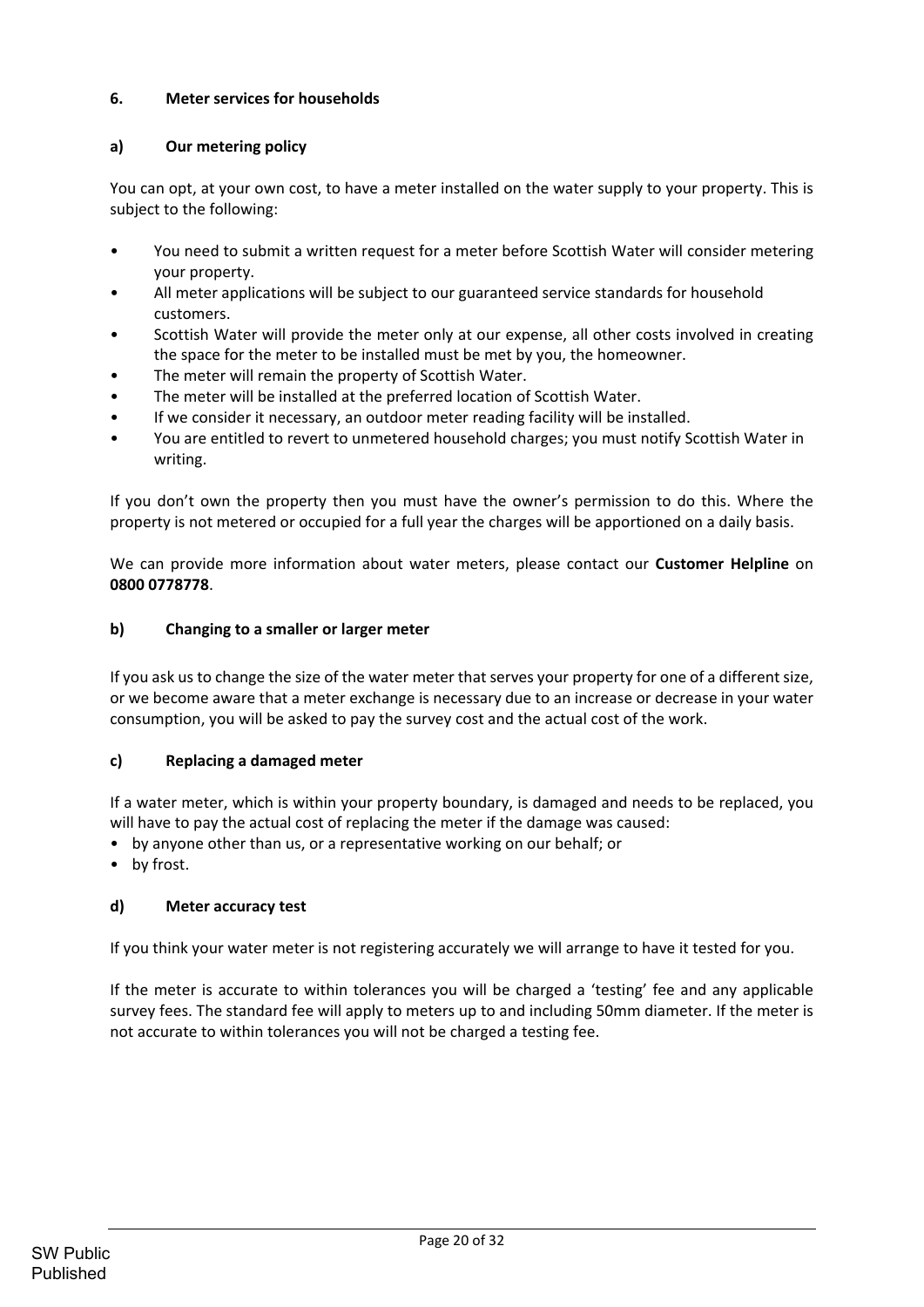# **6. Meter services for households**

## **a) Our metering policy**

You can opt, at your own cost, to have a meter installed on the water supply to your property. This is subject to the following:

- You need to submit a written request for a meter before Scottish Water will consider metering your property.
- All meter applications will be subject to our guaranteed service standards for household customers.
- Scottish Water will provide the meter only at our expense, all other costs involved in creating the space for the meter to be installed must be met by you, the homeowner.
- The meter will remain the property of Scottish Water.
- The meter will be installed at the preferred location of Scottish Water.
- If we consider it necessary, an outdoor meter reading facility will be installed.
- You are entitled to revert to unmetered household charges; you must notify Scottish Water in writing.

If you don't own the property then you must have the owner's permission to do this. Where the property is not metered or occupied for a full year the charges will be apportioned on a daily basis.

We can provide more information about water meters, please contact our **Customer Helpline** on **0800 0778778**.

## **b) Changing to a smaller or larger meter**

If you ask us to change the size of the water meter that serves your property for one of a different size, or we become aware that a meter exchange is necessary due to an increase or decrease in your water consumption, you will be asked to pay the survey cost and the actual cost of the work.

#### **c) Replacing a damaged meter**

If a water meter, which is within your property boundary, is damaged and needs to be replaced, you will have to pay the actual cost of replacing the meter if the damage was caused:

- by anyone other than us, or a representative working on our behalf; or
- by frost.

# **d) Meter accuracy test**

If you think your water meter is not registering accurately we will arrange to have it tested for you.

If the meter is accurate to within tolerances you will be charged a 'testing' fee and any applicable survey fees. The standard fee will apply to meters up to and including 50mm diameter. If the meter is not accurate to within tolerances you will not be charged a testing fee.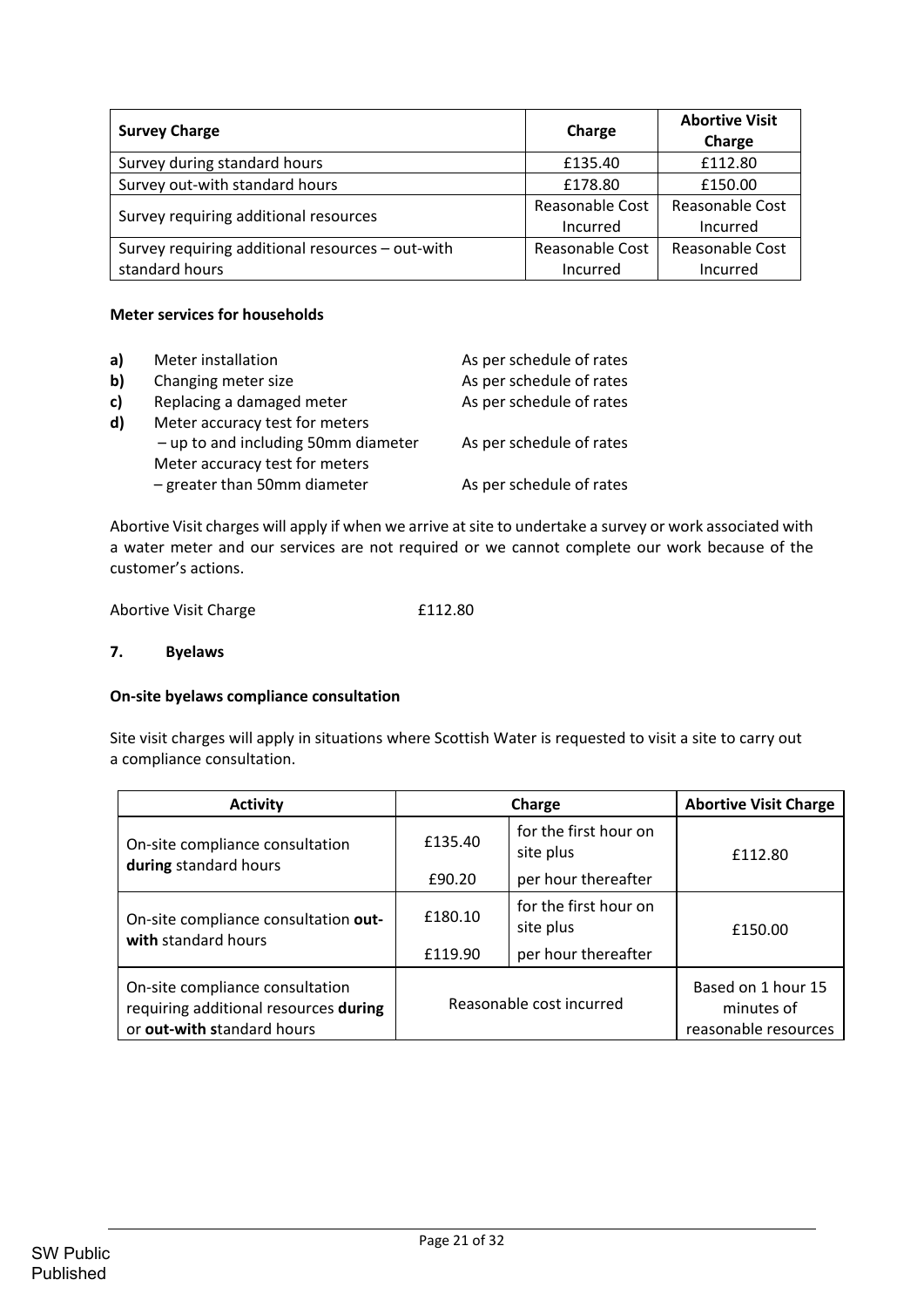| <b>Survey Charge</b>                             | Charge          | <b>Abortive Visit</b><br>Charge |
|--------------------------------------------------|-----------------|---------------------------------|
| Survey during standard hours                     | £135.40         | £112.80                         |
| Survey out-with standard hours                   | £178.80         | £150.00                         |
| Survey requiring additional resources            | Reasonable Cost | Reasonable Cost                 |
|                                                  | Incurred        | Incurred                        |
| Survey requiring additional resources - out-with | Reasonable Cost | Reasonable Cost                 |
| standard hours                                   | Incurred        | Incurred                        |

## **Meter services for households**

| a)           | Meter installation                    | As per schedule of rates |
|--------------|---------------------------------------|--------------------------|
| $\mathbf{b}$ | Changing meter size                   | As per schedule of rates |
| c)           | Replacing a damaged meter             | As per schedule of rates |
| d)           | Meter accuracy test for meters        |                          |
|              | $-$ up to and including 50mm diameter | As per schedule of rates |
|              | Meter accuracy test for meters        |                          |
|              | $-$ greater than 50mm diameter        | As per schedule of rates |
|              |                                       |                          |

Abortive Visit charges will apply if when we arrive atsite to undertake a survey or work associated with a water meter and our services are not required or we cannot complete our work because of the customer's actions.

| Abortive Visit Charge | £112.80 |
|-----------------------|---------|
|                       |         |

# **7. Byelaws**

#### **On‐site byelaws compliance consultation**

Site visit charges will apply in situations where Scottish Water is requested to visit a site to carry out a compliance consultation.

| <b>Activity</b>                                                                                        |         | Charge                             | <b>Abortive Visit Charge</b>                             |
|--------------------------------------------------------------------------------------------------------|---------|------------------------------------|----------------------------------------------------------|
| On-site compliance consultation<br>during standard hours                                               | £135.40 | for the first hour on<br>site plus | £112.80                                                  |
|                                                                                                        | £90.20  | per hour thereafter                |                                                          |
| On-site compliance consultation out-<br>with standard hours                                            | £180.10 | for the first hour on<br>site plus | £150.00                                                  |
|                                                                                                        | £119.90 | per hour thereafter                |                                                          |
| On-site compliance consultation<br>requiring additional resources during<br>or out-with standard hours |         | Reasonable cost incurred           | Based on 1 hour 15<br>minutes of<br>reasonable resources |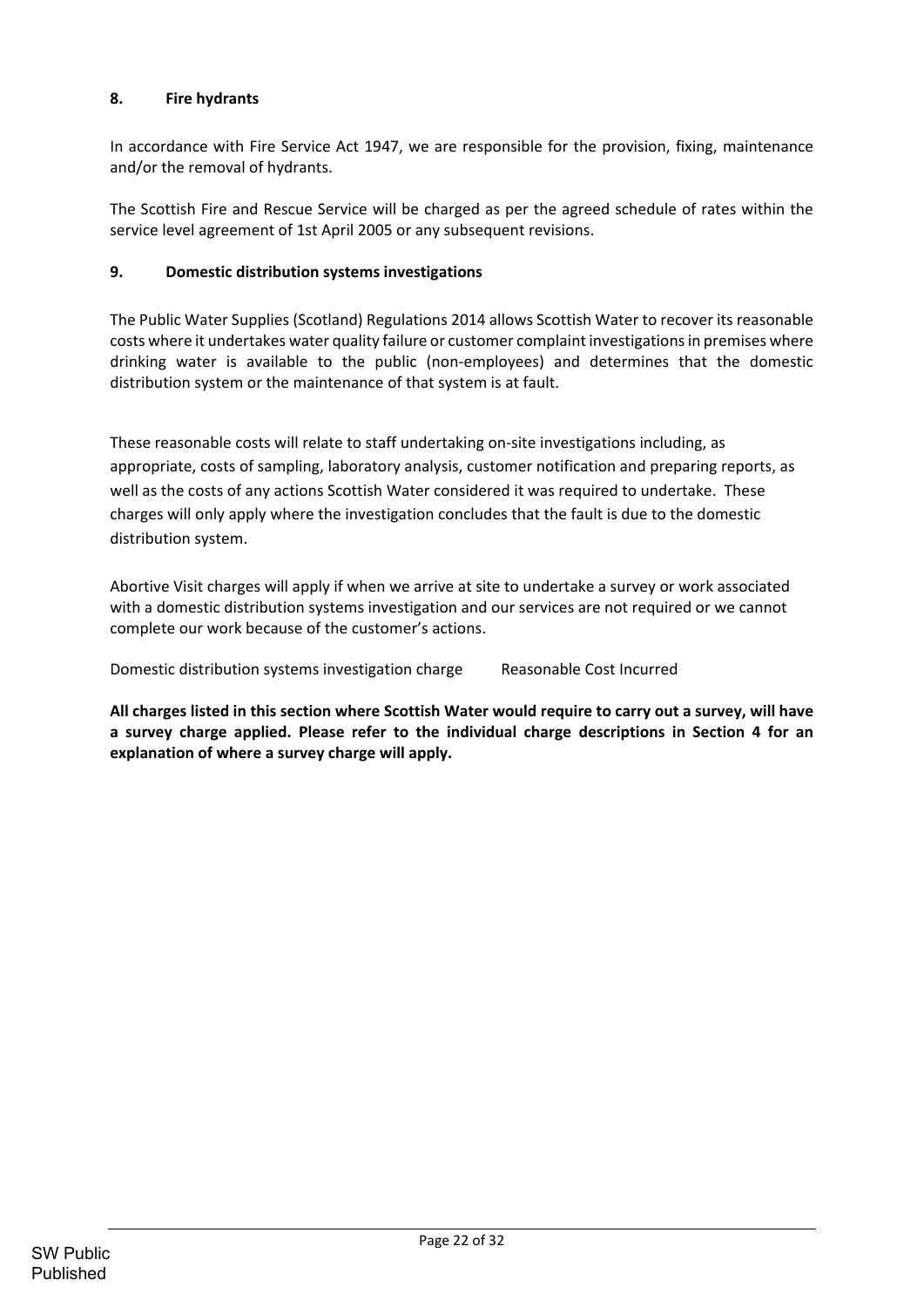# **8. Fire hydrants**

In accordance with Fire Service Act 1947, we are responsible for the provision, fixing, maintenance and/or the removal of hydrants.

The Scottish Fire and Rescue Service will be charged as per the agreed schedule of rates within the service level agreement of 1st April 2005 or any subsequent revisions.

## **9. Domestic distribution systems investigations**

The Public Water Supplies (Scotland) Regulations 2014 allows Scottish Water to recover its reasonable costs where it undertakes water quality failure or customer complaint investigationsin premises where drinking water is available to the public (non‐employees) and determines that the domestic distribution system or the maintenance of that system is at fault.

These reasonable costs will relate to staff undertaking on‐site investigations including, as appropriate, costs of sampling, laboratory analysis, customer notification and preparing reports, as well as the costs of any actions Scottish Water considered it was required to undertake. These charges will only apply where the investigation concludes that the fault is due to the domestic distribution system.

Abortive Visit charges will apply if when we arrive at site to undertake a survey or work associated with a domestic distribution systems investigation and our services are not required or we cannot complete our work because of the customer's actions.

Domestic distribution systems investigation charge Reasonable Cost Incurred

All charges listed in this section where Scottish Water would require to carry out a survey, will have **a survey charge applied. Please refer to the individual charge descriptions in Section 4 for an explanation of where a survey charge will apply.**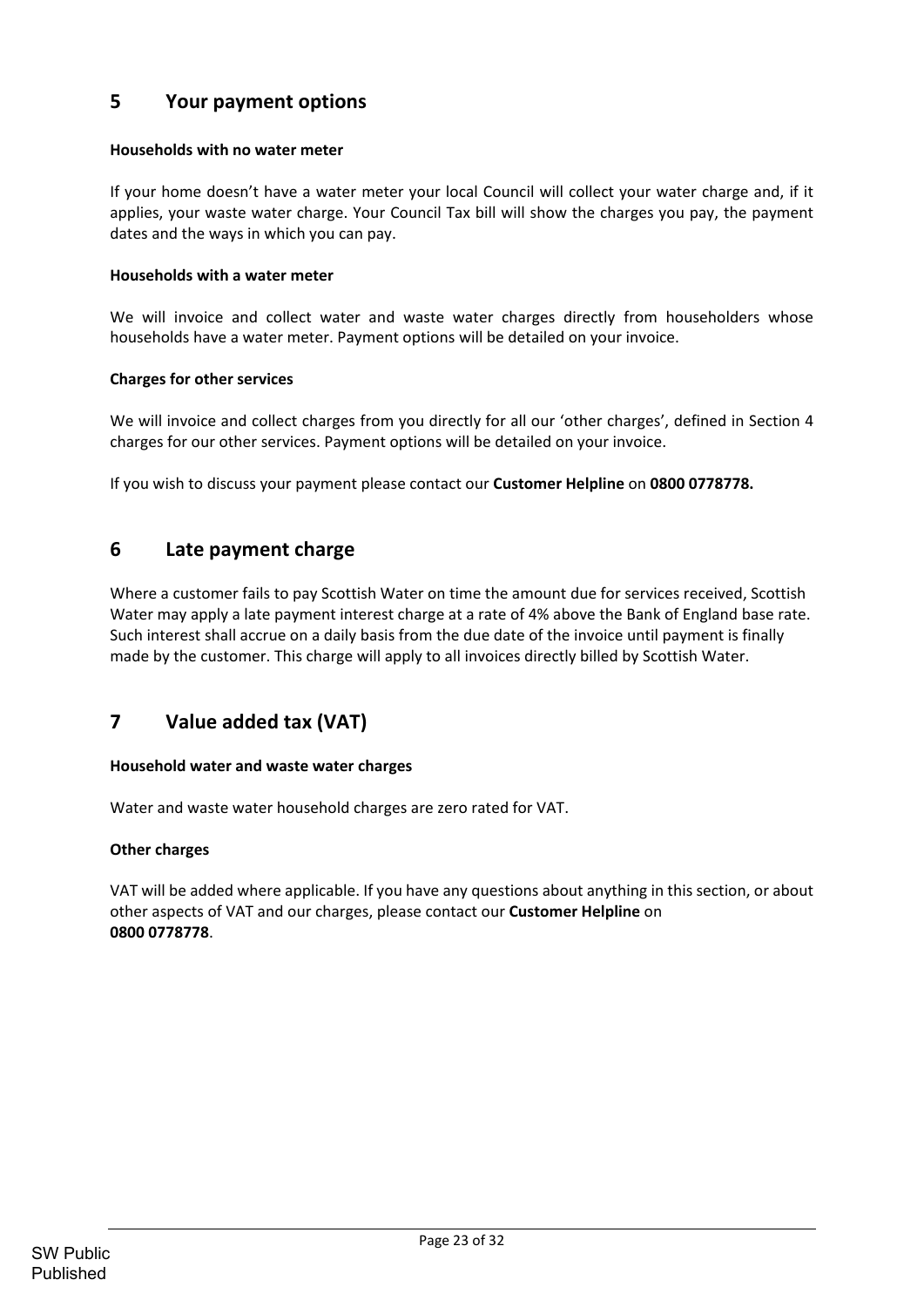# **5 Your payment options**

## **Households with no water meter**

If your home doesn't have a water meter your local Council will collect your water charge and, if it applies, your waste water charge. Your Council Tax bill will show the charges you pay, the payment dates and the ways in which you can pay.

#### **Households with a water meter**

We will invoice and collect water and waste water charges directly from householders whose households have a water meter. Payment options will be detailed on your invoice.

## **Charges for other services**

We will invoice and collect charges from you directly for all our 'other charges', defined in Section 4 charges for our other services. Payment options will be detailed on your invoice.

If you wish to discuss your payment please contact our **Customer Helpline** on **0800 0778778.**

# **6 Late payment charge**

Where a customer fails to pay Scottish Water on time the amount due for services received, Scottish Water may apply a late payment interest charge at a rate of 4% above the Bank of England base rate. Such interest shall accrue on a daily basis from the due date of the invoice until payment is finally made by the customer. This charge will apply to all invoices directly billed by Scottish Water.

# **7 Value added tax (VAT)**

#### **Household water and waste water charges**

Water and waste water household charges are zero rated for VAT.

#### **Other charges**

VAT will be added where applicable. If you have any questions about anything in this section, or about other aspects of VAT and our charges, please contact our **Customer Helpline** on **0800 0778778**.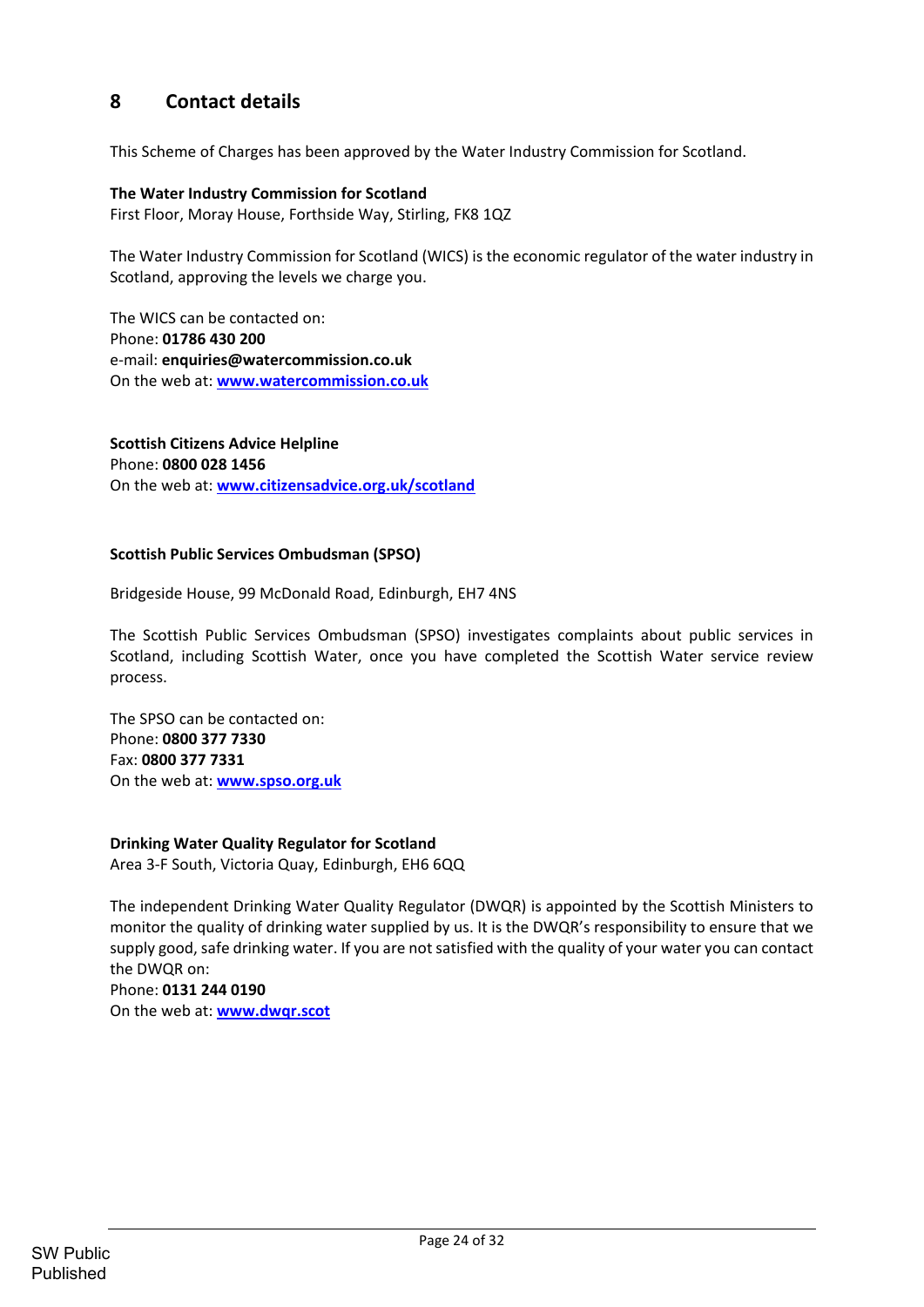# **8 Contact details**

This Scheme of Charges has been approved by the Water Industry Commission for Scotland.

#### **The Water Industry Commission for Scotland**

First Floor, Moray House, Forthside Way, Stirling, FK8 1QZ

The Water Industry Commission for Scotland (WICS) is the economic regulator of the water industry in Scotland, approving the levels we charge you.

The WICS can be contacted on: Phone: **01786 430 200** e‐mail: **enquiries@watercommission.co.uk** On the web at: **www.watercommission.co.uk**

**Scottish Citizens Advice Helpline** Phone: **0800 028 1456** On the web at: **www.citizensadvice.org.uk/scotland**

#### **Scottish Public Services Ombudsman (SPSO)**

Bridgeside House, 99 McDonald Road, Edinburgh, EH7 4NS

The Scottish Public Services Ombudsman (SPSO) investigates complaints about public services in Scotland, including Scottish Water, once you have completed the Scottish Water service review process.

The SPSO can be contacted on: Phone: **0800 377 7330** Fax: **0800 377 7331** On the web at: **www.spso.org.uk**

#### **Drinking Water Quality Regulator for Scotland**

Area 3‐F South, Victoria Quay, Edinburgh, EH6 6QQ

The independent Drinking Water Quality Regulator (DWQR) is appointed by the Scottish Ministers to monitor the quality of drinking water supplied by us. It is the DWQR's responsibility to ensure that we supply good, safe drinking water. If you are not satisfied with the quality of your water you can contact the DWQR on:

Phone: **0131 244 0190** On the web at: **www.dwqr.scot**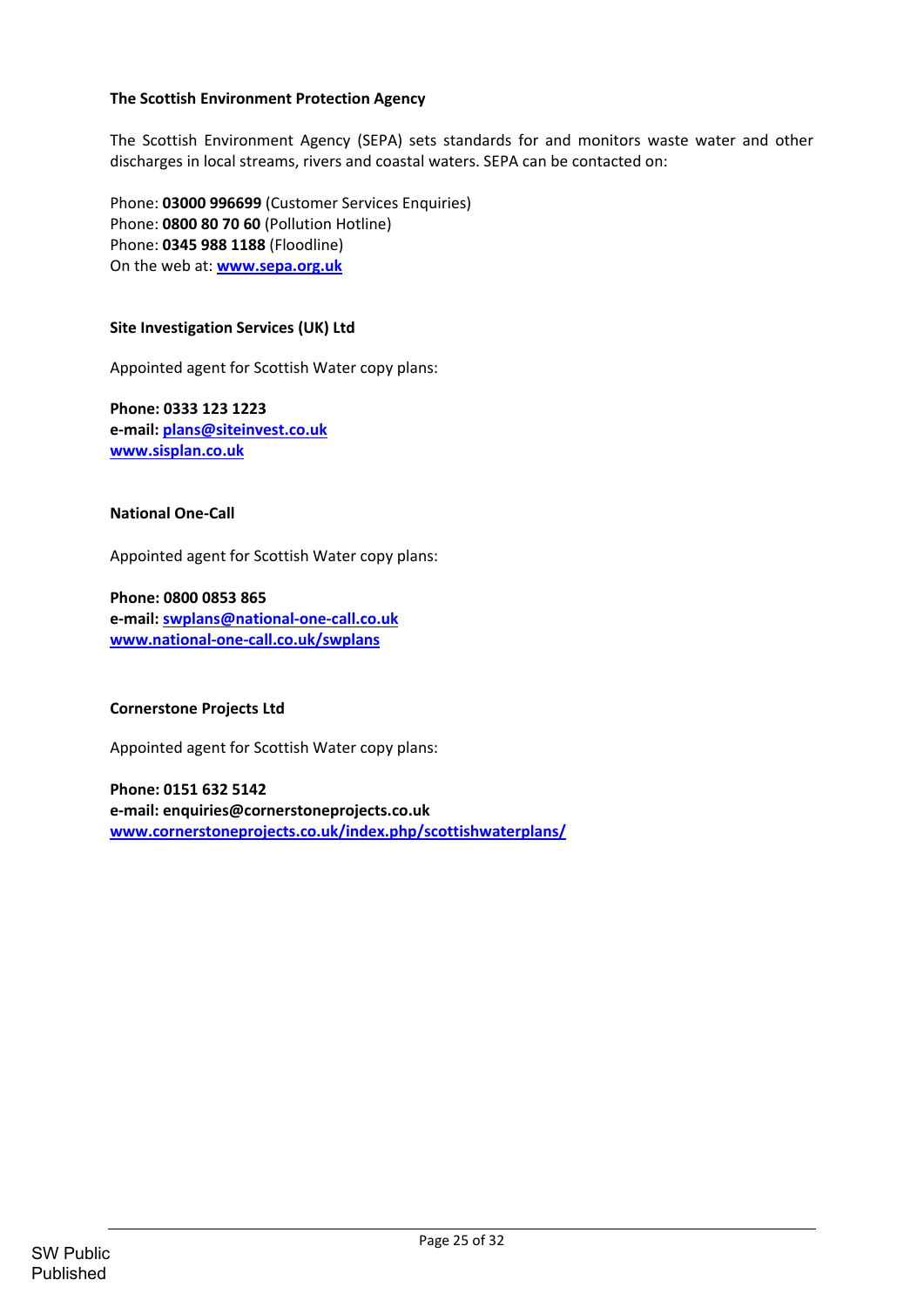## **The Scottish Environment Protection Agency**

The Scottish Environment Agency (SEPA) sets standards for and monitors waste water and other discharges in local streams, rivers and coastal waters. SEPA can be contacted on:

Phone: **03000 996699** (Customer Services Enquiries) Phone: **0800 80 70 60** (Pollution Hotline) Phone: **0345 988 1188** (Floodline) On the web at: **www.sepa.org.uk**

#### **Site Investigation Services (UK) Ltd**

Appointed agent for Scottish Water copy plans:

**Phone: 0333 123 1223 e‐mail: plans@siteinvest.co.uk www.sisplan.co.uk**

#### **National One‐Call**

Appointed agent for Scottish Water copy plans:

**Phone: 0800 0853 865 e‐mail: swplans@national‐one‐call.co.uk www.national‐one‐call.co.uk/swplans**

#### **Cornerstone Projects Ltd**

Appointed agent for Scottish Water copy plans:

**Phone: 0151 632 5142 e‐mail: enquiries@cornerstoneprojects.co.uk www.cornerstoneprojects.co.uk/index.php/scottishwaterplans/**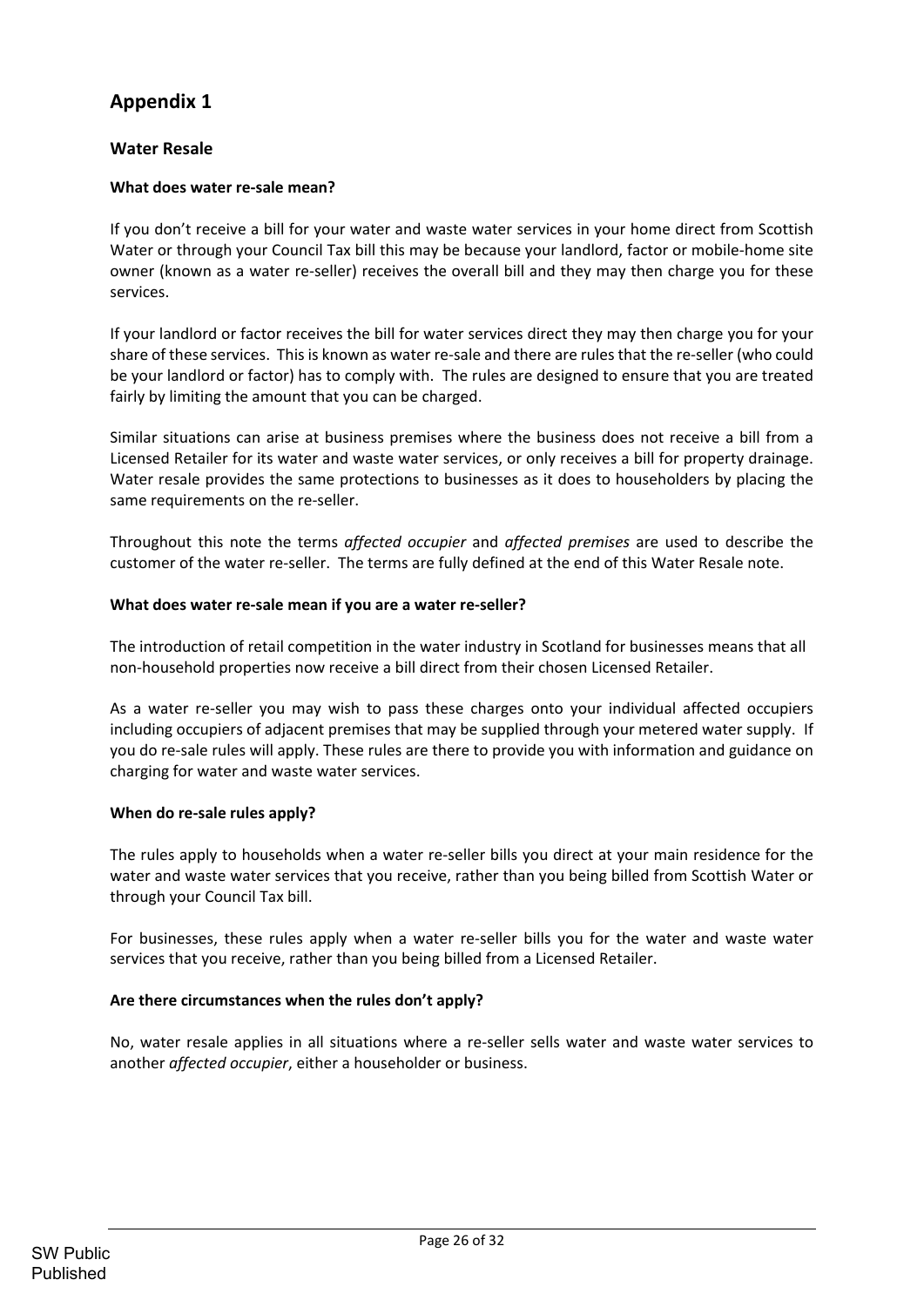# **Appendix 1**

# **Water Resale**

## **What does water re‐sale mean?**

If you don't receive a bill for your water and waste water services in your home direct from Scottish Water or through your Council Tax bill this may be because your landlord, factor or mobile-home site owner (known as a water re-seller) receives the overall bill and they may then charge you for these services.

If your landlord or factor receives the bill for water services direct they may then charge you for your share of these services. This is known as water re-sale and there are rules that the re-seller (who could be your landlord or factor) has to comply with. The rules are designed to ensure that you are treated fairly by limiting the amount that you can be charged.

Similar situations can arise at business premises where the business does not receive a bill from a Licensed Retailer for its water and waste water services, or only receives a bill for property drainage. Water resale provides the same protections to businesses as it does to householders by placing the same requirements on the re-seller.

Throughout this note the terms *affected occupier* and *affected premises* are used to describe the customer of the water re-seller. The terms are fully defined at the end of this Water Resale note.

#### **What does water re‐sale mean if you are a water re‐seller?**

The introduction of retail competition in the water industry in Scotland for businesses means that all non‐household properties now receive a bill direct from their chosen Licensed Retailer.

As a water re‐seller you may wish to pass these charges onto your individual affected occupiers including occupiers of adjacent premises that may be supplied through your metered water supply. If you do re‐sale rules will apply. These rules are there to provide you with information and guidance on charging for water and waste water services.

#### **When do re‐sale rules apply?**

The rules apply to households when a water re-seller bills you direct at your main residence for the water and waste water services that you receive, rather than you being billed from Scottish Water or through your Council Tax bill.

For businesses, these rules apply when a water re‐seller bills you for the water and waste water services that you receive, rather than you being billed from a Licensed Retailer.

#### **Are there circumstances when the rules don't apply?**

No, water resale applies in all situations where a re‐seller sells water and waste water services to another *affected occupier*, either a householder or business.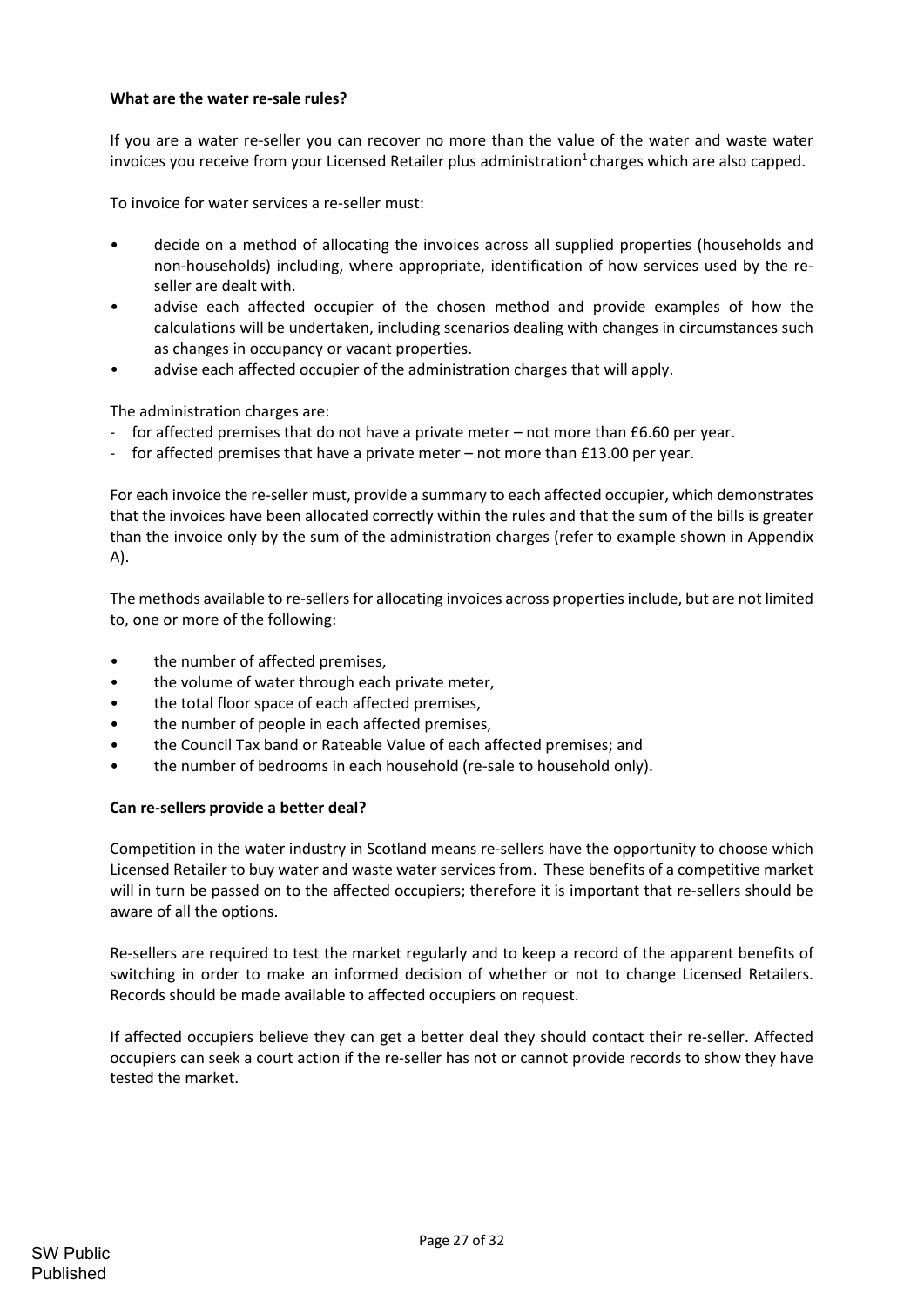## **What are the water re‐sale rules?**

If you are a water re‐seller you can recover no more than the value of the water and waste water invoices you receive from your Licensed Retailer plus administration $1$  charges which are also capped.

To invoice for water services a re‐seller must:

- decide on a method of allocating the invoices across all supplied properties (households and non‐households) including, where appropriate, identification of how services used by the re‐ seller are dealt with.
- advise each affected occupier of the chosen method and provide examples of how the calculations will be undertaken, including scenarios dealing with changes in circumstances such as changes in occupancy or vacant properties.
- advise each affected occupier of the administration charges that will apply.

The administration charges are:

- for affected premises that do not have a private meter not more than £6.60 per year.
- for affected premises that have a private meter not more than  $£13.00$  per year.

For each invoice the re‐seller must, provide a summary to each affected occupier, which demonstrates that the invoices have been allocated correctly within the rules and that the sum of the bills is greater than the invoice only by the sum of the administration charges (refer to example shown in Appendix A).

The methods available to re-sellers for allocating invoices across properties include, but are not limited to, one or more of the following:

- the number of affected premises,
- the volume of water through each private meter,
- the total floor space of each affected premises,
- the number of people in each affected premises,
- the Council Tax band or Rateable Value of each affected premises; and
- the number of bedrooms in each household (re‐sale to household only).

#### **Can re‐sellers provide a better deal?**

Competition in the water industry in Scotland means re-sellers have the opportunity to choose which Licensed Retailer to buy water and waste water services from. These benefits of a competitive market will in turn be passed on to the affected occupiers; therefore it is important that re-sellers should be aware of all the options.

Re‐sellers are required to test the market regularly and to keep a record of the apparent benefits of switching in order to make an informed decision of whether or not to change Licensed Retailers. Records should be made available to affected occupiers on request.

If affected occupiers believe they can get a better deal they should contact their re‐seller. Affected occupiers can seek a court action if the re‐seller has not or cannot provide records to show they have tested the market.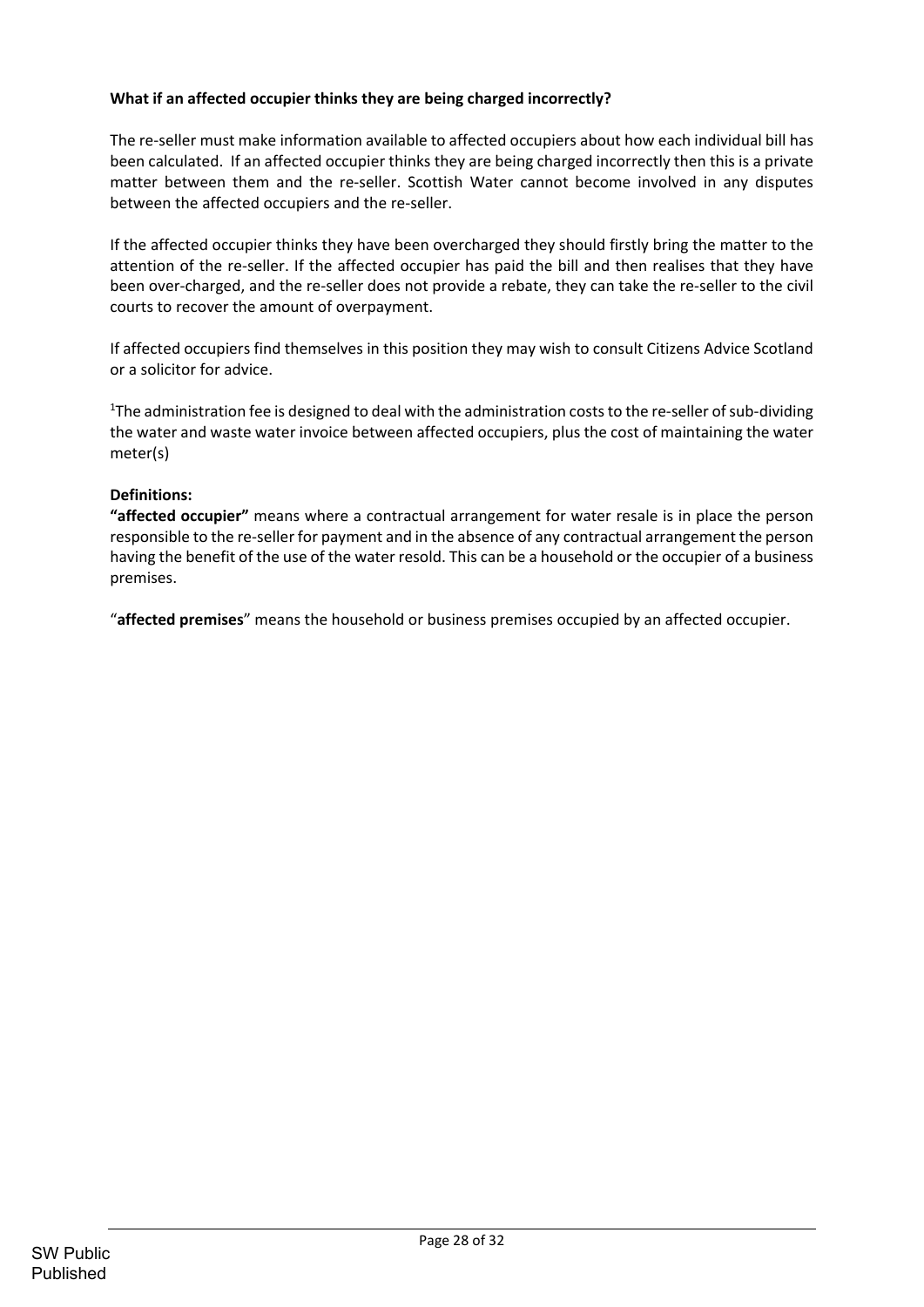# **What if an affected occupier thinks they are being charged incorrectly?**

The re‐seller must make information available to affected occupiers about how each individual bill has been calculated. If an affected occupier thinks they are being charged incorrectly then this is a private matter between them and the re-seller. Scottish Water cannot become involved in any disputes between the affected occupiers and the re‐seller.

If the affected occupier thinks they have been overcharged they should firstly bring the matter to the attention of the re‐seller. If the affected occupier has paid the bill and then realises that they have been over‐charged, and the re‐seller does not provide a rebate, they can take the re‐seller to the civil courts to recover the amount of overpayment.

If affected occupiers find themselves in this position they may wish to consult Citizens Advice Scotland or a solicitor for advice.

<sup>1</sup>The administration fee is designed to deal with the administration costs to the re-seller of sub-dividing the water and waste water invoice between affected occupiers, plus the cost of maintaining the water meter(s)

## **Definitions:**

**"affected occupier"** means where a contractual arrangement for water resale is in place the person responsible to the re‐seller for payment and in the absence of any contractual arrangement the person having the benefit of the use of the water resold. This can be a household or the occupier of a business premises.

"**affected premises**" means the household or business premises occupied by an affected occupier.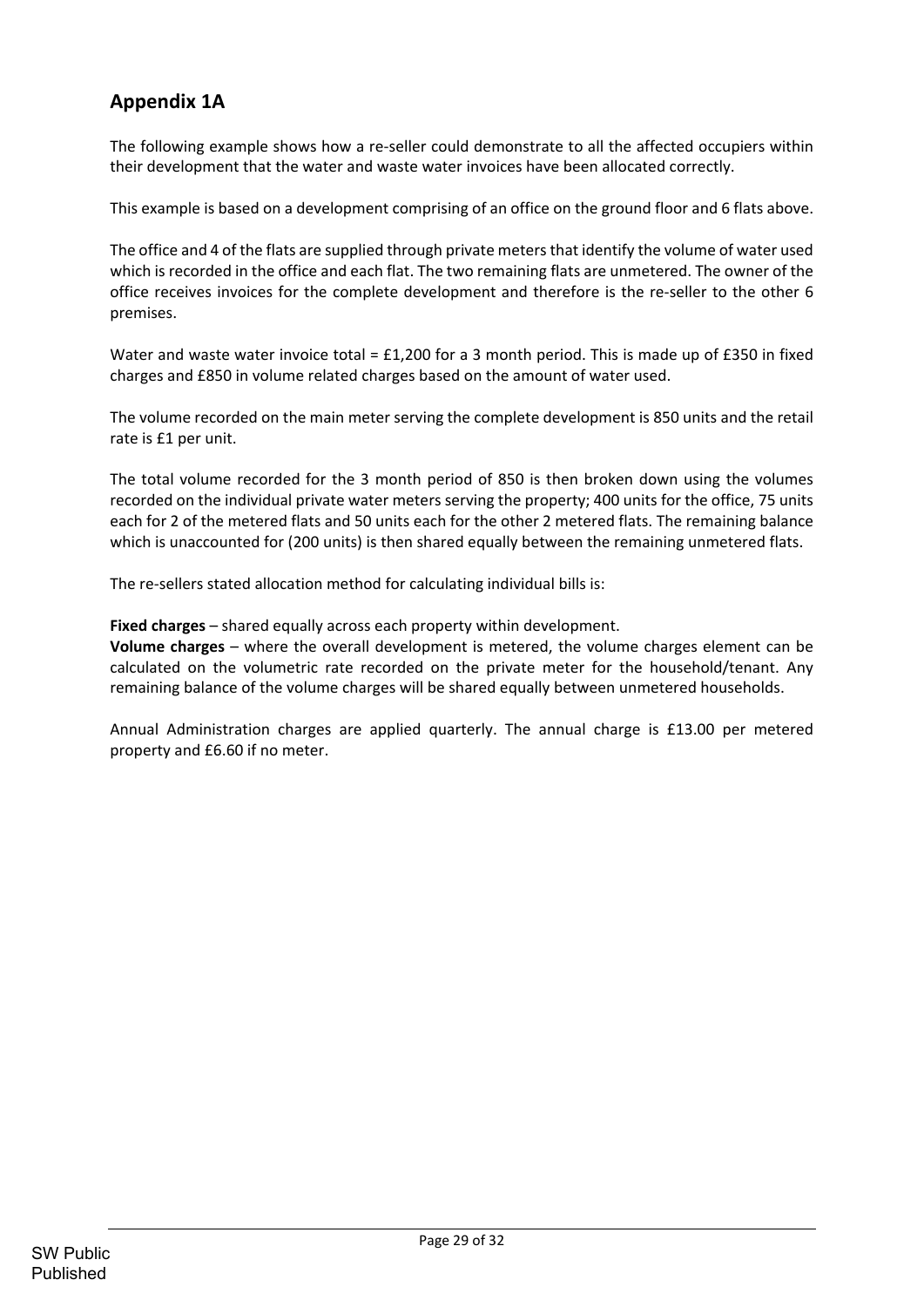# **Appendix 1A**

The following example shows how a re-seller could demonstrate to all the affected occupiers within their development that the water and waste water invoices have been allocated correctly.

This example is based on a development comprising of an office on the ground floor and 6 flats above.

The office and 4 of the flats are supplied through private meters that identify the volume of water used which is recorded in the office and each flat. The two remaining flats are unmetered. The owner of the office receives invoices for the complete development and therefore is the re‐seller to the other 6 premises.

Water and waste water invoice total = £1,200 for a 3 month period. This is made up of £350 in fixed charges and £850 in volume related charges based on the amount of water used.

The volume recorded on the main meter serving the complete development is 850 units and the retail rate is £1 per unit.

The total volume recorded for the 3 month period of 850 is then broken down using the volumes recorded on the individual private water meters serving the property; 400 units for the office, 75 units each for 2 of the metered flats and 50 units each for the other 2 metered flats. The remaining balance which is unaccounted for (200 units) is then shared equally between the remaining unmetered flats.

The re-sellers stated allocation method for calculating individual bills is:

**Fixed charges** – shared equally across each property within development.

**Volume charges** – where the overall development is metered, the volume charges element can be calculated on the volumetric rate recorded on the private meter for the household/tenant. Any remaining balance of the volume charges will be shared equally between unmetered households.

Annual Administration charges are applied quarterly. The annual charge is £13.00 per metered property and £6.60 if no meter.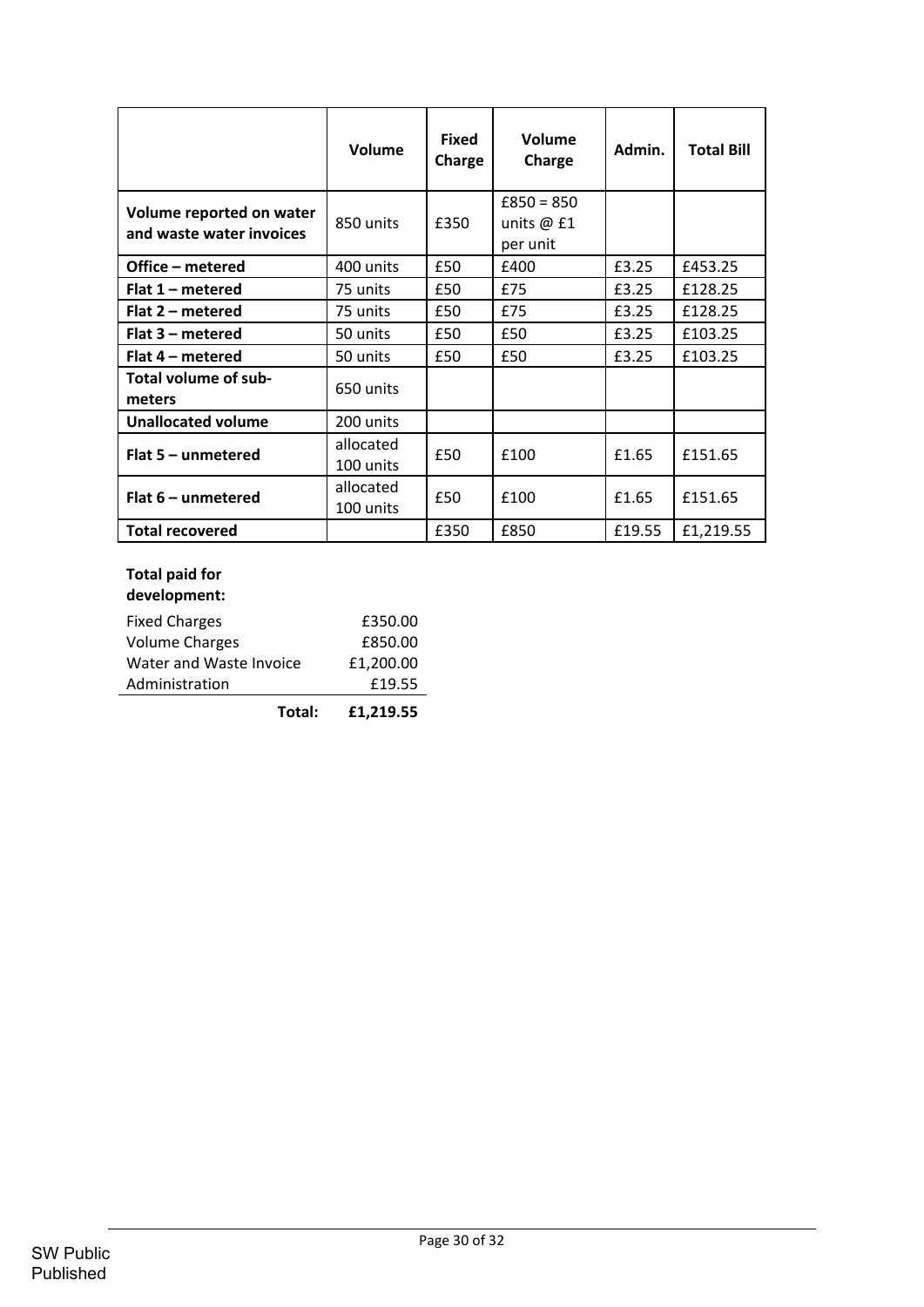|                                                      | Volume                 | <b>Fixed</b><br>Charge | Volume<br>Charge                         | Admin. | <b>Total Bill</b> |  |
|------------------------------------------------------|------------------------|------------------------|------------------------------------------|--------|-------------------|--|
| Volume reported on water<br>and waste water invoices | 850 units              | £350                   | $£850 = 850$<br>units $@$ £1<br>per unit |        |                   |  |
| Office – metered                                     | 400 units              | £50                    | £400                                     | £3.25  | £453.25           |  |
| Flat $1$ – metered                                   | 75 units               | £50                    | £75                                      | £3.25  | £128.25           |  |
| Flat 2 – metered                                     | 75 units               | £50                    | £75                                      | £3.25  | £128.25           |  |
| Flat $3$ – metered                                   | 50 units               | £50                    | £50                                      | £3.25  | £103.25           |  |
| Flat 4 – metered                                     | 50 units               | £50                    | £50                                      | £3.25  | £103.25           |  |
| Total volume of sub-<br>meters                       | 650 units              |                        |                                          |        |                   |  |
| <b>Unallocated volume</b>                            | 200 units              |                        |                                          |        |                   |  |
| Flat $5$ – unmetered                                 | allocated<br>100 units | £50                    | £100                                     | £1.65  | £151.65           |  |
| Flat $6$ – unmetered                                 | allocated<br>100 units | £50                    | £100                                     | £1.65  | £151.65           |  |
| <b>Total recovered</b>                               |                        | £350                   | £850                                     | £19.55 | £1,219.55         |  |

# **Total paid for**

| development: |
|--------------|
|--------------|

| <u>WARDIONII AINI</u>   |           |
|-------------------------|-----------|
| <b>Fixed Charges</b>    | £350.00   |
| Volume Charges          | £850.00   |
| Water and Waste Invoice | £1,200.00 |
| Administration          | £19.55    |
|                         |           |

**Total: £1,219.55**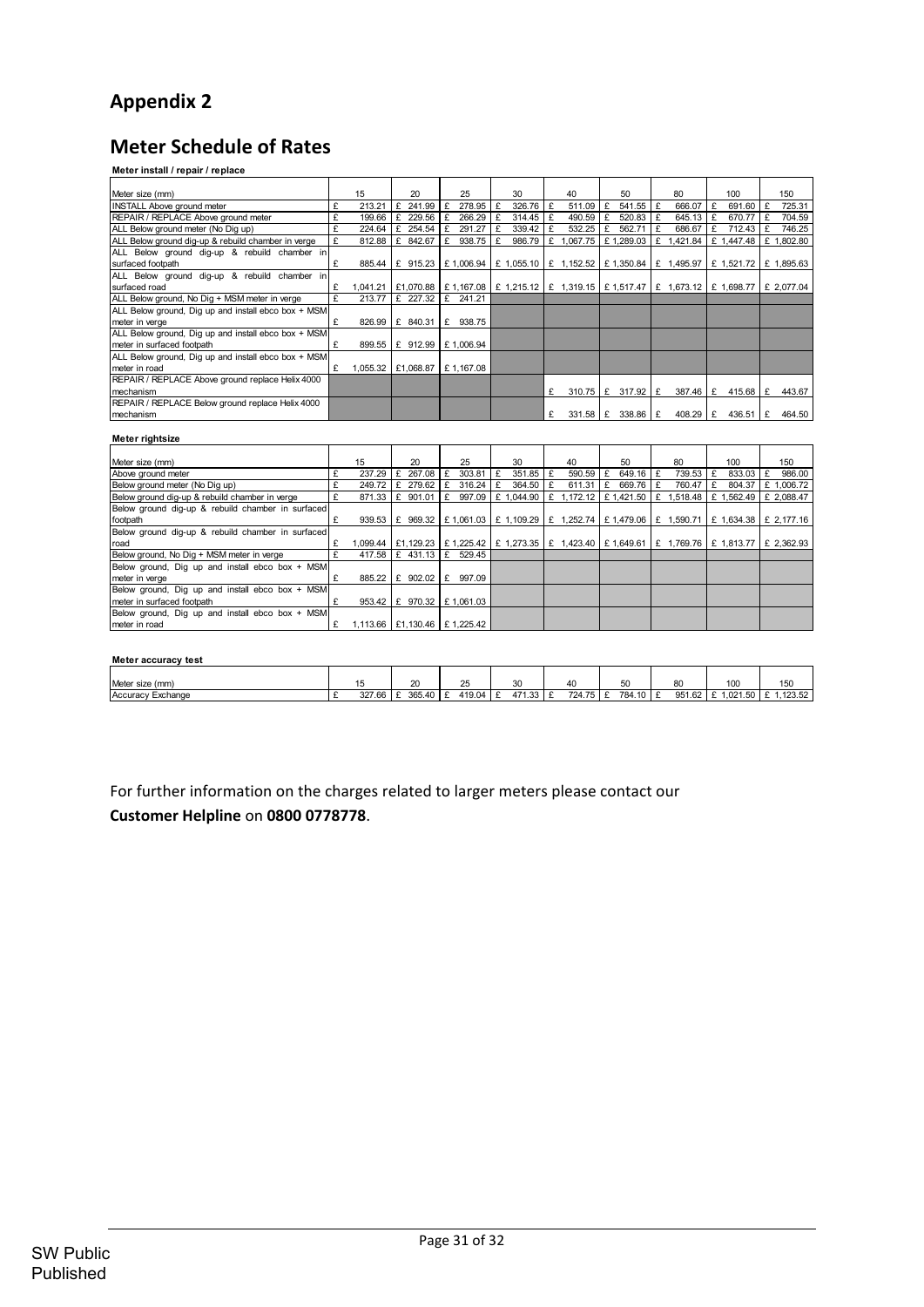# **Appendix 2**

# **Meter Schedule of Rates**

#### **Meter install / repair / replace**

| Meter size (mm)                                     |   | 15                               |   | 20       |   | 25                             |   | 30     |   | 40                                                                                                              |   | 50                      |   | 80         |   | 100        | 150        |
|-----------------------------------------------------|---|----------------------------------|---|----------|---|--------------------------------|---|--------|---|-----------------------------------------------------------------------------------------------------------------|---|-------------------------|---|------------|---|------------|------------|
| <b>INSTALL Above ground meter</b>                   |   | 213.21                           | £ | 241.99   |   | 278.95                         | £ | 326.76 | £ | 511.09                                                                                                          |   | 541.55                  | £ | 666.07     | £ | 691.60     | 725.31     |
| REPAIR / REPLACE Above ground meter                 |   | 199.66                           | £ | 229.56   |   | 266.29                         |   | 314.45 |   | 490.59                                                                                                          |   | 520.83                  | £ | 645.13     |   | 670.77     | 704.59     |
| ALL Below ground meter (No Dig up)                  | £ | 224.64                           | £ | 254.54   |   | 291.27                         |   | 339.42 |   | 532.25                                                                                                          |   | 562.71                  |   | 686.67     |   | 712.43     | 746.25     |
| ALL Below ground dig-up & rebuild chamber in verge  |   | 812.88                           | £ | 842.67   | £ | 938.75                         |   | 986.79 | £ | 1,067.75                                                                                                        |   | £1,289.03               |   | £ 1,421.84 |   | £ 1,447.48 | £ 1,802.80 |
| ALL Below ground dig-up & rebuild chamber in        |   |                                  |   |          |   |                                |   |        |   |                                                                                                                 |   |                         |   |            |   |            |            |
| surfaced footpath                                   | £ |                                  |   |          |   | 885.44   £ 915.23   £ 1,006.94 |   |        |   | £ 1,055.10 $E$ 1,152.52 $E$ 1,350.84 $E$ 1,495.97 $E$ 1,521.72 $E$ 1,895.63                                     |   |                         |   |            |   |            |            |
| ALL Below ground dig-up & rebuild chamber in        |   |                                  |   |          |   |                                |   |        |   |                                                                                                                 |   |                         |   |            |   |            |            |
| surfaced road                                       |   |                                  |   |          |   |                                |   |        |   | 1,041.21   £1,070.88   £ 1,167.08   £ 1,215.12   £ 1,319.15   £ 1,517.47   £ 1,673.12   £ 1,698.77   £ 2,077.04 |   |                         |   |            |   |            |            |
| ALL Below ground, No Dig + MSM meter in verge       | £ | 213.77                           |   | £ 227.32 |   | £ 241.21                       |   |        |   |                                                                                                                 |   |                         |   |            |   |            |            |
| ALL Below ground, Dig up and install ebco box + MSM |   |                                  |   |          |   |                                |   |        |   |                                                                                                                 |   |                         |   |            |   |            |            |
| meter in verge                                      | £ | 826.99                           | £ | 840.31 E |   | 938.75                         |   |        |   |                                                                                                                 |   |                         |   |            |   |            |            |
| ALL Below ground, Dig up and install ebco box + MSM |   |                                  |   |          |   |                                |   |        |   |                                                                                                                 |   |                         |   |            |   |            |            |
| meter in surfaced footpath                          |   | 899.55                           |   |          |   | £ 912.99   £ 1,006.94          |   |        |   |                                                                                                                 |   |                         |   |            |   |            |            |
| ALL Below ground, Dig up and install ebco box + MSM |   |                                  |   |          |   |                                |   |        |   |                                                                                                                 |   |                         |   |            |   |            |            |
| meter in road                                       | £ | 1,055.32   £1,068.87   £1,167.08 |   |          |   |                                |   |        |   |                                                                                                                 |   |                         |   |            |   |            |            |
| REPAIR / REPLACE Above ground replace Helix 4000    |   |                                  |   |          |   |                                |   |        |   |                                                                                                                 |   |                         |   |            |   |            |            |
| mechanism                                           |   |                                  |   |          |   |                                |   |        | £ |                                                                                                                 |   | $310.75$ $E$ 317.92 $E$ |   | $387.46$ E |   | 415.68 $E$ | 443.67     |
| REPAIR / REPLACE Below ground replace Helix 4000    |   |                                  |   |          |   |                                |   |        |   |                                                                                                                 |   |                         |   |            |   |            |            |
| Imechanism                                          |   |                                  |   |          |   |                                |   |        | £ | 331.58                                                                                                          | £ | $338.86 \text{ E}$      |   | 408.29     | f | 436.51     | 464.50     |

#### **Meter rightsize**

| Meter size (mm)                                   |   | 15                               | 20                |   | 25                             |   | 30     |              | 40                                                                                                           |   | 50         | 80                               |   | 100    | 150        |
|---------------------------------------------------|---|----------------------------------|-------------------|---|--------------------------------|---|--------|--------------|--------------------------------------------------------------------------------------------------------------|---|------------|----------------------------------|---|--------|------------|
| Above ground meter                                | £ | 237.29                           | 267.08            |   | 303.81                         | £ | 351.85 | $\mathbf{f}$ | 590.59                                                                                                       |   | $649.16$ E | 739.53                           | £ | 833.03 | 986.00     |
| Below around meter (No Dia up)                    |   | 249.72                           | £ 279.62          |   | 316.24                         |   | 364.50 | £            | 611.31                                                                                                       | £ | 669.76 £   | 760.47                           |   | 804.37 | £1.006.72  |
| Below ground dig-up & rebuild chamber in verge    |   |                                  | 871.33 E 901.01   | £ | 997.09                         |   |        |              | £ 1,044.90   £ 1,172.12                                                                                      |   |            | E 1,421.50 E 1,518.48 E 1,562.49 |   |        | £ 2.088.47 |
| Below ground dig-up & rebuild chamber in surfaced |   |                                  |                   |   |                                |   |        |              |                                                                                                              |   |            |                                  |   |        |            |
| footpath                                          |   |                                  |                   |   |                                |   |        |              | 939.53   £ 969.32   £ 1.061.03   £ 1.109.29   £ 1.252.74   £ 1.479.06   £ 1.590.71   £ 1.634.38   £ 2.177.16 |   |            |                                  |   |        |            |
| Below ground dig-up & rebuild chamber in surfaced |   |                                  |                   |   |                                |   |        |              |                                                                                                              |   |            |                                  |   |        |            |
| Iroad                                             | £ |                                  |                   |   |                                |   |        |              | 1,099.44   £1,129.23   £ 1,225.42   £ 1,273.35   £ 1,423.40   £ 1,649.61   £ 1,769.76   £ 1,813.77           |   |            |                                  |   |        | £ 2.362.93 |
| Below ground, No Dig + MSM meter in verge         |   |                                  |                   |   | 417.58 E 431.13 E 529.45       |   |        |              |                                                                                                              |   |            |                                  |   |        |            |
| Below ground, Dig up and install ebco box + MSM   |   |                                  |                   |   |                                |   |        |              |                                                                                                              |   |            |                                  |   |        |            |
| meter in verge                                    | £ |                                  | 885.22 E 902.02 E |   | 997.09                         |   |        |              |                                                                                                              |   |            |                                  |   |        |            |
| Below ground, Dig up and install ebco box + MSM   |   |                                  |                   |   |                                |   |        |              |                                                                                                              |   |            |                                  |   |        |            |
| meter in surfaced footpath                        |   |                                  |                   |   | 953.42   £ 970.32   £ 1,061.03 |   |        |              |                                                                                                              |   |            |                                  |   |        |            |
| Below ground, Dig up and install ebco box + MSM   |   |                                  |                   |   |                                |   |        |              |                                                                                                              |   |            |                                  |   |        |            |
| meter in road                                     |   | 1.113.66   £1.130.46   £1.225.42 |                   |   |                                |   |        |              |                                                                                                              |   |            |                                  |   |        |            |

#### **Meter accuracy test**

|                   |        |                      | $\sim$ $-$ |              |          |          |              |         |         |
|-------------------|--------|----------------------|------------|--------------|----------|----------|--------------|---------|---------|
| Meter size (mm)   |        | 20                   | ∼          | $\sim$<br>ບບ |          | 50<br>ູ  | $\sim$<br>ഄഄ | 100     | 150     |
| Accuracy Exchange | 327.66 | $365.40$ £<br>$\sim$ | 419.04     | 471.33       | 724.75 E | 784.10 £ | 951.62       | .021.50 | .123.52 |

For further information on the charges related to larger meters please contact our **Customer Helpline** on **0800 0778778**.